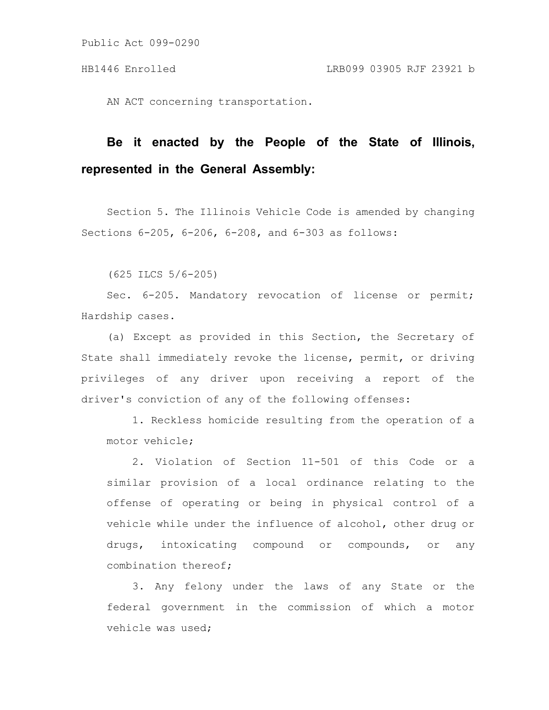AN ACT concerning transportation.

# **Be it enacted by the People of the State of Illinois, represented in the General Assembly:**

Section 5. The Illinois Vehicle Code is amended by changing Sections 6-205, 6-206, 6-208, and 6-303 as follows:

(625 ILCS 5/6-205)

Sec. 6-205. Mandatory revocation of license or permit; Hardship cases.

(a) Except as provided in this Section, the Secretary of State shall immediately revoke the license, permit, or driving privileges of any driver upon receiving a report of the driver's conviction of any of the following offenses:

1. Reckless homicide resulting from the operation of a motor vehicle;

2. Violation of Section 11-501 of this Code or a similar provision of a local ordinance relating to the offense of operating or being in physical control of a vehicle while under the influence of alcohol, other drug or drugs, intoxicating compound or compounds, or any combination thereof;

3. Any felony under the laws of any State or the federal government in the commission of which a motor vehicle was used;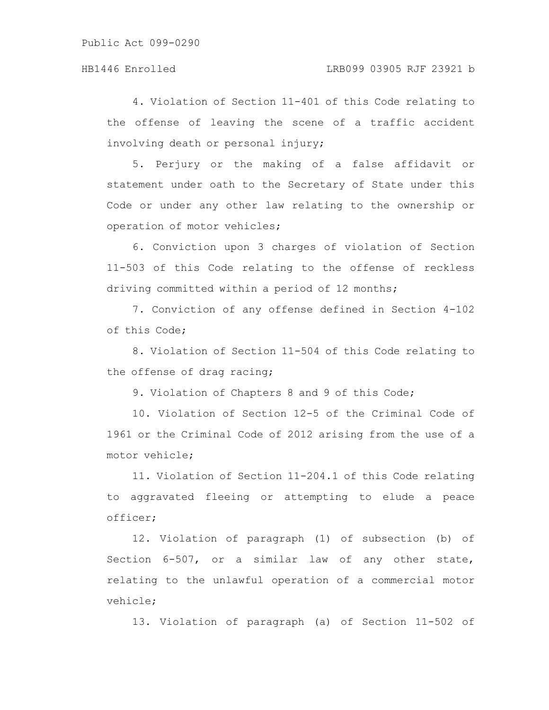4. Violation of Section 11-401 of this Code relating to the offense of leaving the scene of a traffic accident involving death or personal injury;

5. Perjury or the making of a false affidavit or statement under oath to the Secretary of State under this Code or under any other law relating to the ownership or operation of motor vehicles;

6. Conviction upon 3 charges of violation of Section 11-503 of this Code relating to the offense of reckless driving committed within a period of 12 months;

7. Conviction of any offense defined in Section 4-102 of this Code;

8. Violation of Section 11-504 of this Code relating to the offense of drag racing;

9. Violation of Chapters 8 and 9 of this Code;

10. Violation of Section 12-5 of the Criminal Code of 1961 or the Criminal Code of 2012 arising from the use of a motor vehicle;

11. Violation of Section 11-204.1 of this Code relating to aggravated fleeing or attempting to elude a peace officer;

12. Violation of paragraph (1) of subsection (b) of Section 6-507, or a similar law of any other state, relating to the unlawful operation of a commercial motor vehicle;

13. Violation of paragraph (a) of Section 11-502 of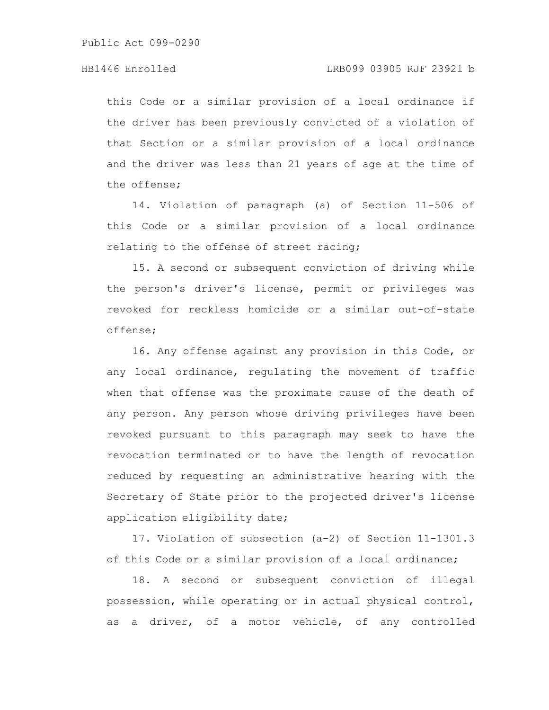this Code or a similar provision of a local ordinance if the driver has been previously convicted of a violation of that Section or a similar provision of a local ordinance and the driver was less than 21 years of age at the time of the offense;

14. Violation of paragraph (a) of Section 11-506 of this Code or a similar provision of a local ordinance relating to the offense of street racing;

15. A second or subsequent conviction of driving while the person's driver's license, permit or privileges was revoked for reckless homicide or a similar out-of-state offense;

16. Any offense against any provision in this Code, or any local ordinance, regulating the movement of traffic when that offense was the proximate cause of the death of any person. Any person whose driving privileges have been revoked pursuant to this paragraph may seek to have the revocation terminated or to have the length of revocation reduced by requesting an administrative hearing with the Secretary of State prior to the projected driver's license application eligibility date;

17. Violation of subsection (a-2) of Section 11-1301.3 of this Code or a similar provision of a local ordinance;

18. A second or subsequent conviction of illegal possession, while operating or in actual physical control, as a driver, of a motor vehicle, of any controlled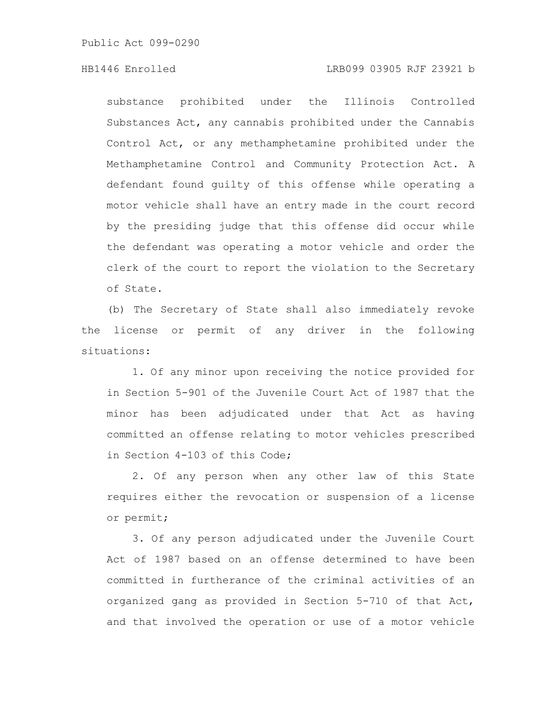substance prohibited under the Illinois Controlled Substances Act, any cannabis prohibited under the Cannabis Control Act, or any methamphetamine prohibited under the Methamphetamine Control and Community Protection Act. A defendant found guilty of this offense while operating a motor vehicle shall have an entry made in the court record by the presiding judge that this offense did occur while the defendant was operating a motor vehicle and order the clerk of the court to report the violation to the Secretary of State.

(b) The Secretary of State shall also immediately revoke the license or permit of any driver in the following situations:

1. Of any minor upon receiving the notice provided for in Section 5-901 of the Juvenile Court Act of 1987 that the minor has been adjudicated under that Act as having committed an offense relating to motor vehicles prescribed in Section 4-103 of this Code;

2. Of any person when any other law of this State requires either the revocation or suspension of a license or permit;

3. Of any person adjudicated under the Juvenile Court Act of 1987 based on an offense determined to have been committed in furtherance of the criminal activities of an organized gang as provided in Section 5-710 of that Act, and that involved the operation or use of a motor vehicle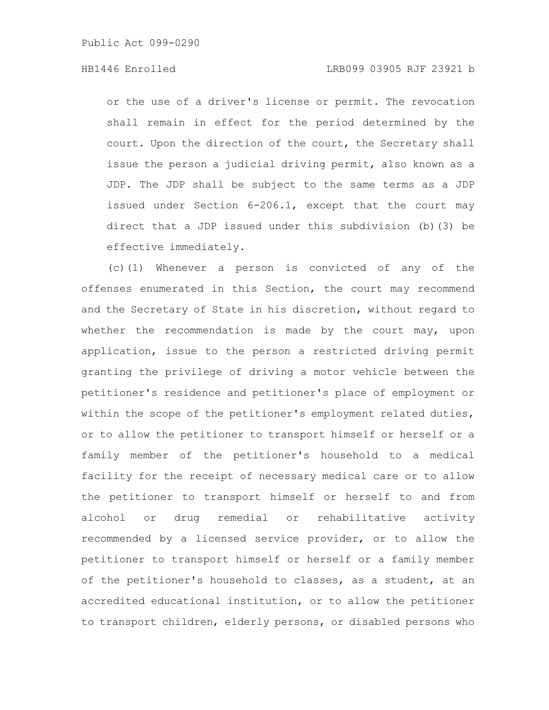or the use of a driver's license or permit. The revocation shall remain in effect for the period determined by the court. Upon the direction of the court, the Secretary shall issue the person a judicial driving permit, also known as a JDP. The JDP shall be subject to the same terms as a JDP issued under Section 6-206.1, except that the court may direct that a JDP issued under this subdivision (b)(3) be effective immediately.

(c)(1) Whenever a person is convicted of any of the offenses enumerated in this Section, the court may recommend and the Secretary of State in his discretion, without regard to whether the recommendation is made by the court may, upon application, issue to the person a restricted driving permit granting the privilege of driving a motor vehicle between the petitioner's residence and petitioner's place of employment or within the scope of the petitioner's employment related duties, or to allow the petitioner to transport himself or herself or a family member of the petitioner's household to a medical facility for the receipt of necessary medical care or to allow the petitioner to transport himself or herself to and from alcohol or drug remedial or rehabilitative activity recommended by a licensed service provider, or to allow the petitioner to transport himself or herself or a family member of the petitioner's household to classes, as a student, at an accredited educational institution, or to allow the petitioner to transport children, elderly persons, or disabled persons who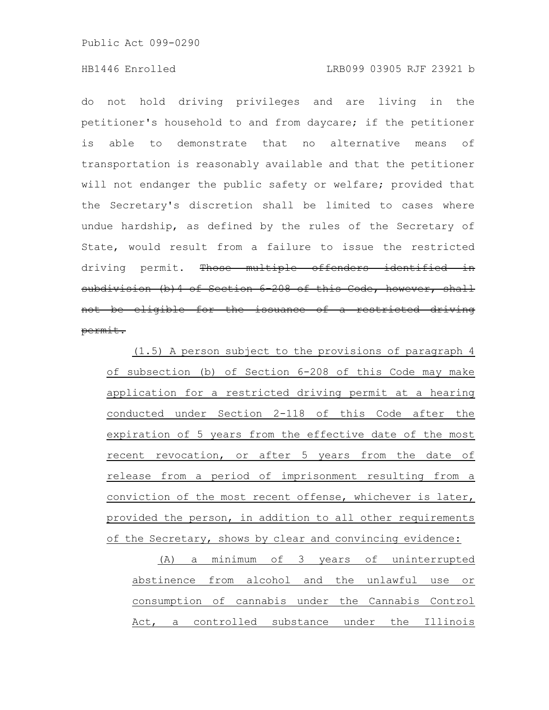do not hold driving privileges and are living in the petitioner's household to and from daycare; if the petitioner is able to demonstrate that no alternative means of transportation is reasonably available and that the petitioner will not endanger the public safety or welfare; provided that the Secretary's discretion shall be limited to cases where undue hardship, as defined by the rules of the Secretary of State, would result from a failure to issue the restricted driving permit. Those multiple offenders identified in subdivision (b) 4 of Section 6 208 of this Code, however, shall not be eligible for the issuance of a restricted driving permit.

(1.5) A person subject to the provisions of paragraph 4 of subsection (b) of Section 6-208 of this Code may make application for a restricted driving permit at a hearing conducted under Section 2-118 of this Code after the expiration of 5 years from the effective date of the most recent revocation, or after 5 years from the date of release from a period of imprisonment resulting from a conviction of the most recent offense, whichever is later, provided the person, in addition to all other requirements of the Secretary, shows by clear and convincing evidence:

(A) a minimum of 3 years of uninterrupted abstinence from alcohol and the unlawful use or consumption of cannabis under the Cannabis Control Act, a controlled substance under the Illinois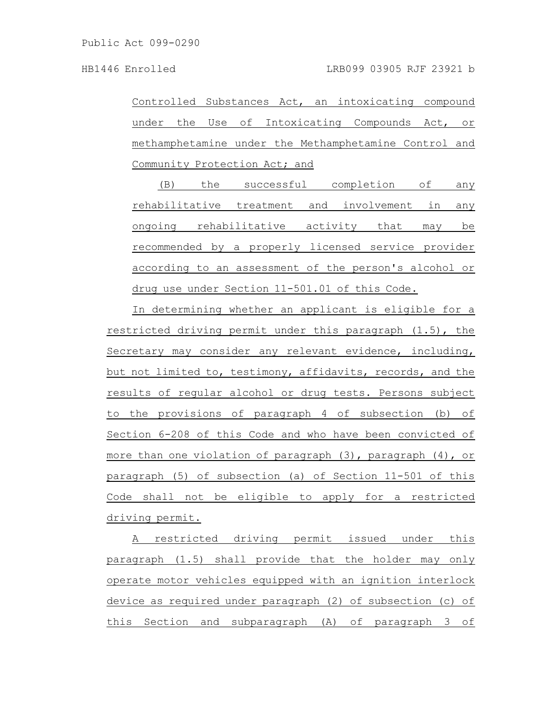Controlled Substances Act, an intoxicating compound under the Use of Intoxicating Compounds Act, or methamphetamine under the Methamphetamine Control and Community Protection Act; and

(B) the successful completion of any rehabilitative treatment and involvement in any ongoing rehabilitative activity that may be recommended by a properly licensed service provider according to an assessment of the person's alcohol or drug use under Section 11-501.01 of this Code.

In determining whether an applicant is eligible for a restricted driving permit under this paragraph (1.5), the Secretary may consider any relevant evidence, including, but not limited to, testimony, affidavits, records, and the results of regular alcohol or drug tests. Persons subject to the provisions of paragraph 4 of subsection (b) of Section 6-208 of this Code and who have been convicted of more than one violation of paragraph (3), paragraph (4), or paragraph (5) of subsection (a) of Section 11-501 of this Code shall not be eligible to apply for a restricted driving permit.

A restricted driving permit issued under this paragraph (1.5) shall provide that the holder may only operate motor vehicles equipped with an ignition interlock device as required under paragraph (2) of subsection (c) of this Section and subparagraph (A) of paragraph 3 of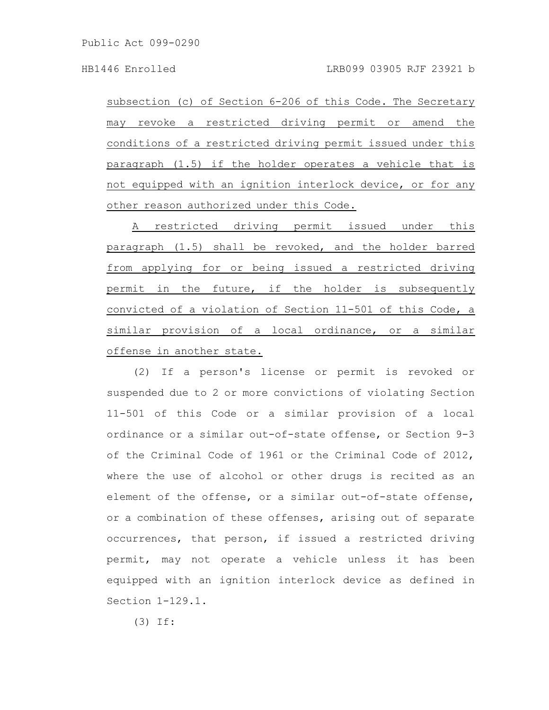subsection (c) of Section 6-206 of this Code. The Secretary may revoke a restricted driving permit or amend the conditions of a restricted driving permit issued under this paragraph (1.5) if the holder operates a vehicle that is not equipped with an ignition interlock device, or for any other reason authorized under this Code.

A restricted driving permit issued under this paragraph (1.5) shall be revoked, and the holder barred from applying for or being issued a restricted driving permit in the future, if the holder is subsequently convicted of a violation of Section 11-501 of this Code, a similar provision of a local ordinance, or a similar offense in another state.

(2) If a person's license or permit is revoked or suspended due to 2 or more convictions of violating Section 11-501 of this Code or a similar provision of a local ordinance or a similar out-of-state offense, or Section 9-3 of the Criminal Code of 1961 or the Criminal Code of 2012, where the use of alcohol or other drugs is recited as an element of the offense, or a similar out-of-state offense, or a combination of these offenses, arising out of separate occurrences, that person, if issued a restricted driving permit, may not operate a vehicle unless it has been equipped with an ignition interlock device as defined in Section 1-129.1.

(3) If: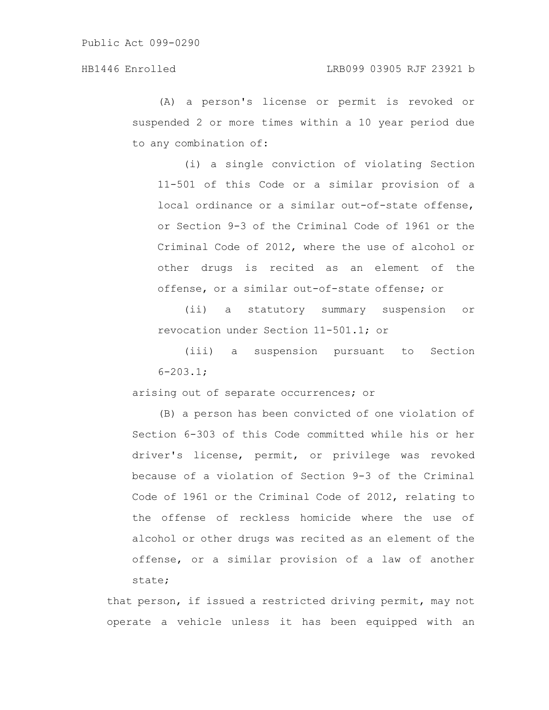(A) a person's license or permit is revoked or suspended 2 or more times within a 10 year period due to any combination of:

(i) a single conviction of violating Section 11-501 of this Code or a similar provision of a local ordinance or a similar out-of-state offense, or Section 9-3 of the Criminal Code of 1961 or the Criminal Code of 2012, where the use of alcohol or other drugs is recited as an element of the offense, or a similar out-of-state offense; or

(ii) a statutory summary suspension or revocation under Section 11-501.1; or

(iii) a suspension pursuant to Section  $6 - 203.1$ ;

arising out of separate occurrences; or

(B) a person has been convicted of one violation of Section 6-303 of this Code committed while his or her driver's license, permit, or privilege was revoked because of a violation of Section 9-3 of the Criminal Code of 1961 or the Criminal Code of 2012, relating to the offense of reckless homicide where the use of alcohol or other drugs was recited as an element of the offense, or a similar provision of a law of another state;

that person, if issued a restricted driving permit, may not operate a vehicle unless it has been equipped with an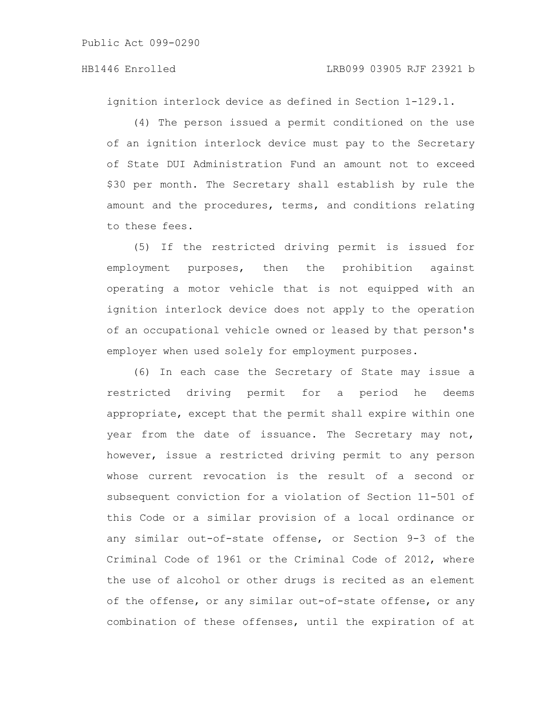ignition interlock device as defined in Section 1-129.1.

(4) The person issued a permit conditioned on the use of an ignition interlock device must pay to the Secretary of State DUI Administration Fund an amount not to exceed \$30 per month. The Secretary shall establish by rule the amount and the procedures, terms, and conditions relating to these fees.

(5) If the restricted driving permit is issued for employment purposes, then the prohibition against operating a motor vehicle that is not equipped with an ignition interlock device does not apply to the operation of an occupational vehicle owned or leased by that person's employer when used solely for employment purposes.

(6) In each case the Secretary of State may issue a restricted driving permit for a period he deems appropriate, except that the permit shall expire within one year from the date of issuance. The Secretary may not, however, issue a restricted driving permit to any person whose current revocation is the result of a second or subsequent conviction for a violation of Section 11-501 of this Code or a similar provision of a local ordinance or any similar out-of-state offense, or Section 9-3 of the Criminal Code of 1961 or the Criminal Code of 2012, where the use of alcohol or other drugs is recited as an element of the offense, or any similar out-of-state offense, or any combination of these offenses, until the expiration of at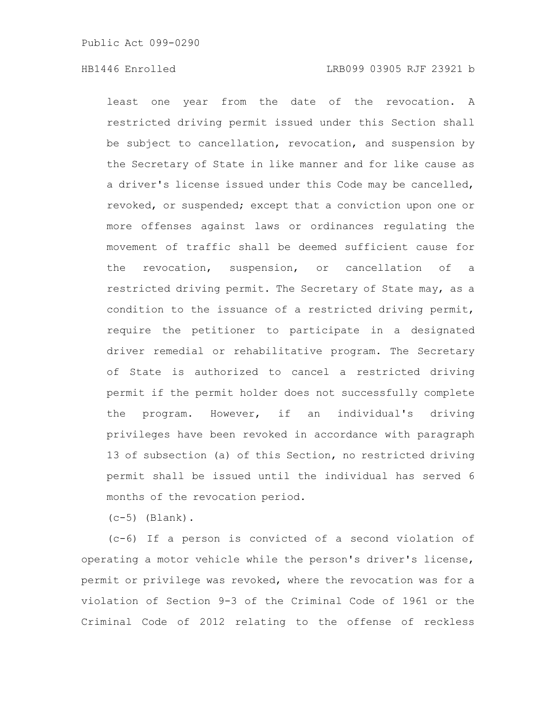least one year from the date of the revocation. A restricted driving permit issued under this Section shall be subject to cancellation, revocation, and suspension by the Secretary of State in like manner and for like cause as a driver's license issued under this Code may be cancelled, revoked, or suspended; except that a conviction upon one or more offenses against laws or ordinances regulating the movement of traffic shall be deemed sufficient cause for the revocation, suspension, or cancellation of a restricted driving permit. The Secretary of State may, as a condition to the issuance of a restricted driving permit, require the petitioner to participate in a designated driver remedial or rehabilitative program. The Secretary of State is authorized to cancel a restricted driving permit if the permit holder does not successfully complete the program. However, if an individual's driving privileges have been revoked in accordance with paragraph 13 of subsection (a) of this Section, no restricted driving permit shall be issued until the individual has served 6 months of the revocation period.

 $(c-5)$  (Blank).

(c-6) If a person is convicted of a second violation of operating a motor vehicle while the person's driver's license, permit or privilege was revoked, where the revocation was for a violation of Section 9-3 of the Criminal Code of 1961 or the Criminal Code of 2012 relating to the offense of reckless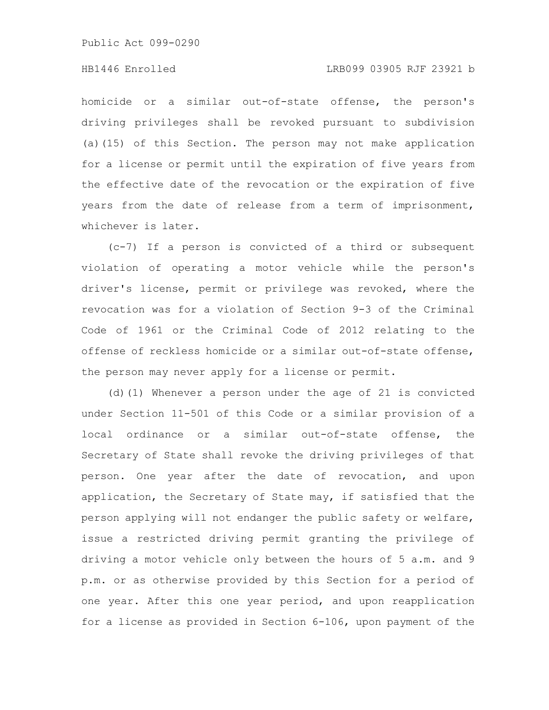#### HB1446 Enrolled LRB099 03905 RJF 23921 b

homicide or a similar out-of-state offense, the person's driving privileges shall be revoked pursuant to subdivision (a)(15) of this Section. The person may not make application for a license or permit until the expiration of five years from the effective date of the revocation or the expiration of five years from the date of release from a term of imprisonment, whichever is later.

(c-7) If a person is convicted of a third or subsequent violation of operating a motor vehicle while the person's driver's license, permit or privilege was revoked, where the revocation was for a violation of Section 9-3 of the Criminal Code of 1961 or the Criminal Code of 2012 relating to the offense of reckless homicide or a similar out-of-state offense, the person may never apply for a license or permit.

(d)(1) Whenever a person under the age of 21 is convicted under Section 11-501 of this Code or a similar provision of a local ordinance or a similar out-of-state offense, the Secretary of State shall revoke the driving privileges of that person. One year after the date of revocation, and upon application, the Secretary of State may, if satisfied that the person applying will not endanger the public safety or welfare, issue a restricted driving permit granting the privilege of driving a motor vehicle only between the hours of 5 a.m. and 9 p.m. or as otherwise provided by this Section for a period of one year. After this one year period, and upon reapplication for a license as provided in Section 6-106, upon payment of the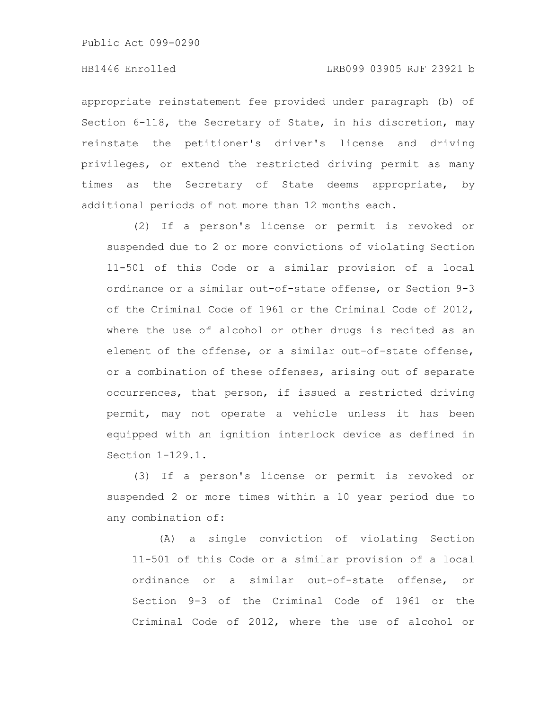appropriate reinstatement fee provided under paragraph (b) of Section 6-118, the Secretary of State, in his discretion, may reinstate the petitioner's driver's license and driving privileges, or extend the restricted driving permit as many times as the Secretary of State deems appropriate, by additional periods of not more than 12 months each.

(2) If a person's license or permit is revoked or suspended due to 2 or more convictions of violating Section 11-501 of this Code or a similar provision of a local ordinance or a similar out-of-state offense, or Section 9-3 of the Criminal Code of 1961 or the Criminal Code of 2012, where the use of alcohol or other drugs is recited as an element of the offense, or a similar out-of-state offense, or a combination of these offenses, arising out of separate occurrences, that person, if issued a restricted driving permit, may not operate a vehicle unless it has been equipped with an ignition interlock device as defined in Section 1-129.1.

(3) If a person's license or permit is revoked or suspended 2 or more times within a 10 year period due to any combination of:

(A) a single conviction of violating Section 11-501 of this Code or a similar provision of a local ordinance or a similar out-of-state offense, or Section 9-3 of the Criminal Code of 1961 or the Criminal Code of 2012, where the use of alcohol or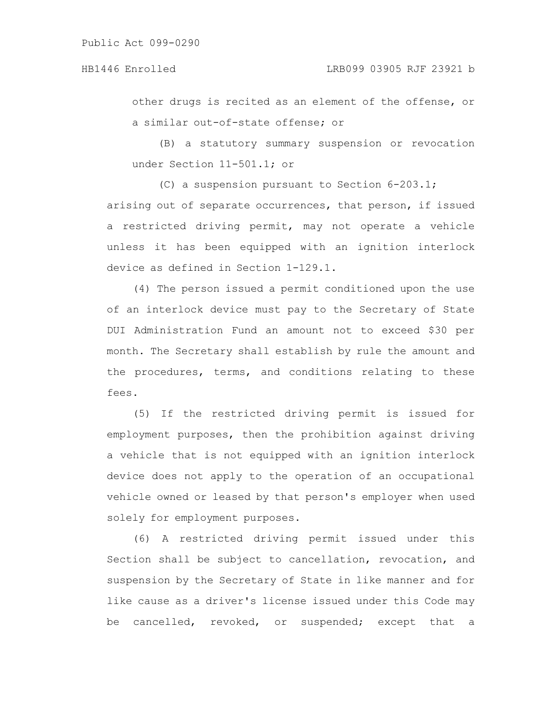other drugs is recited as an element of the offense, or a similar out-of-state offense; or

(B) a statutory summary suspension or revocation under Section 11-501.1; or

(C) a suspension pursuant to Section 6-203.1; arising out of separate occurrences, that person, if issued a restricted driving permit, may not operate a vehicle unless it has been equipped with an ignition interlock device as defined in Section 1-129.1.

(4) The person issued a permit conditioned upon the use of an interlock device must pay to the Secretary of State DUI Administration Fund an amount not to exceed \$30 per month. The Secretary shall establish by rule the amount and the procedures, terms, and conditions relating to these fees.

(5) If the restricted driving permit is issued for employment purposes, then the prohibition against driving a vehicle that is not equipped with an ignition interlock device does not apply to the operation of an occupational vehicle owned or leased by that person's employer when used solely for employment purposes.

(6) A restricted driving permit issued under this Section shall be subject to cancellation, revocation, and suspension by the Secretary of State in like manner and for like cause as a driver's license issued under this Code may be cancelled, revoked, or suspended; except that a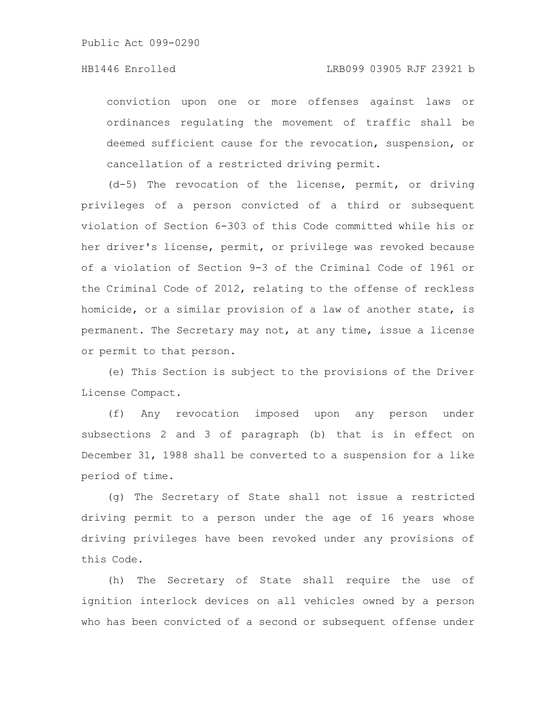conviction upon one or more offenses against laws or ordinances regulating the movement of traffic shall be deemed sufficient cause for the revocation, suspension, or cancellation of a restricted driving permit.

(d-5) The revocation of the license, permit, or driving privileges of a person convicted of a third or subsequent violation of Section 6-303 of this Code committed while his or her driver's license, permit, or privilege was revoked because of a violation of Section 9-3 of the Criminal Code of 1961 or the Criminal Code of 2012, relating to the offense of reckless homicide, or a similar provision of a law of another state, is permanent. The Secretary may not, at any time, issue a license or permit to that person.

(e) This Section is subject to the provisions of the Driver License Compact.

(f) Any revocation imposed upon any person under subsections 2 and 3 of paragraph (b) that is in effect on December 31, 1988 shall be converted to a suspension for a like period of time.

(g) The Secretary of State shall not issue a restricted driving permit to a person under the age of 16 years whose driving privileges have been revoked under any provisions of this Code.

(h) The Secretary of State shall require the use of ignition interlock devices on all vehicles owned by a person who has been convicted of a second or subsequent offense under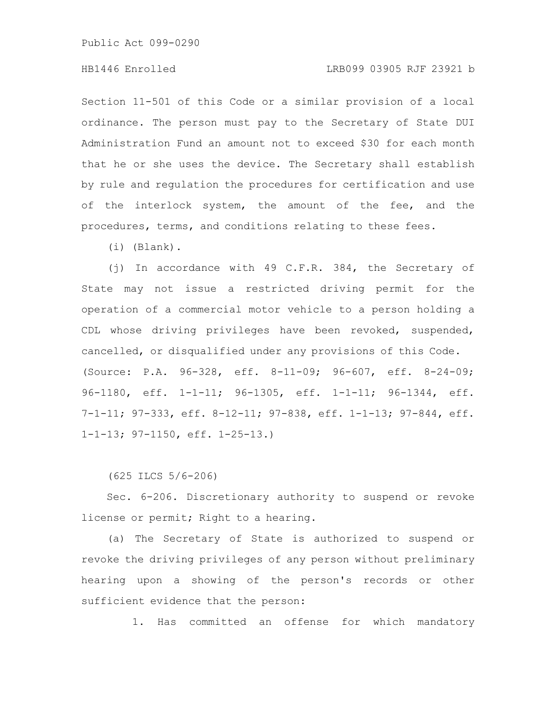# HB1446 Enrolled LRB099 03905 RJF 23921 b

Section 11-501 of this Code or a similar provision of a local ordinance. The person must pay to the Secretary of State DUI Administration Fund an amount not to exceed \$30 for each month that he or she uses the device. The Secretary shall establish by rule and regulation the procedures for certification and use of the interlock system, the amount of the fee, and the procedures, terms, and conditions relating to these fees.

(i) (Blank).

(j) In accordance with 49 C.F.R. 384, the Secretary of State may not issue a restricted driving permit for the operation of a commercial motor vehicle to a person holding a CDL whose driving privileges have been revoked, suspended, cancelled, or disqualified under any provisions of this Code. (Source: P.A. 96-328, eff. 8-11-09; 96-607, eff. 8-24-09; 96-1180, eff. 1-1-11; 96-1305, eff. 1-1-11; 96-1344, eff. 7-1-11; 97-333, eff. 8-12-11; 97-838, eff. 1-1-13; 97-844, eff. 1-1-13; 97-1150, eff. 1-25-13.)

(625 ILCS 5/6-206)

Sec. 6-206. Discretionary authority to suspend or revoke license or permit; Right to a hearing.

(a) The Secretary of State is authorized to suspend or revoke the driving privileges of any person without preliminary hearing upon a showing of the person's records or other sufficient evidence that the person:

1. Has committed an offense for which mandatory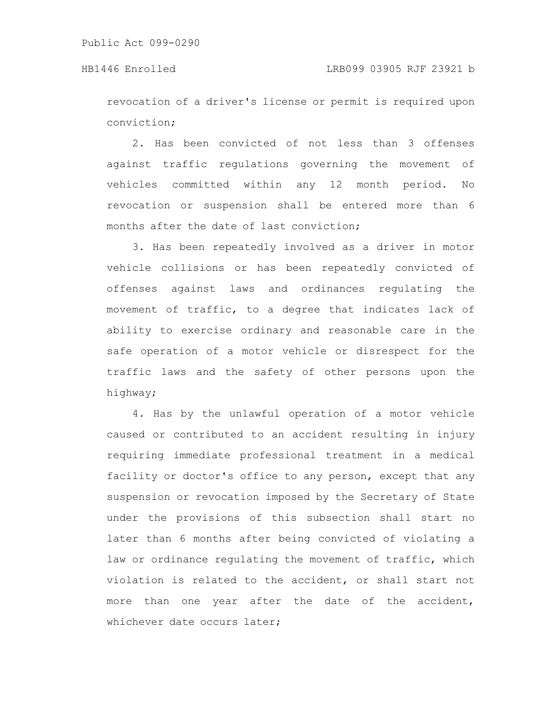revocation of a driver's license or permit is required upon conviction;

2. Has been convicted of not less than 3 offenses against traffic regulations governing the movement of vehicles committed within any 12 month period. No revocation or suspension shall be entered more than 6 months after the date of last conviction;

3. Has been repeatedly involved as a driver in motor vehicle collisions or has been repeatedly convicted of offenses against laws and ordinances regulating the movement of traffic, to a degree that indicates lack of ability to exercise ordinary and reasonable care in the safe operation of a motor vehicle or disrespect for the traffic laws and the safety of other persons upon the highway;

4. Has by the unlawful operation of a motor vehicle caused or contributed to an accident resulting in injury requiring immediate professional treatment in a medical facility or doctor's office to any person, except that any suspension or revocation imposed by the Secretary of State under the provisions of this subsection shall start no later than 6 months after being convicted of violating a law or ordinance regulating the movement of traffic, which violation is related to the accident, or shall start not more than one year after the date of the accident, whichever date occurs later;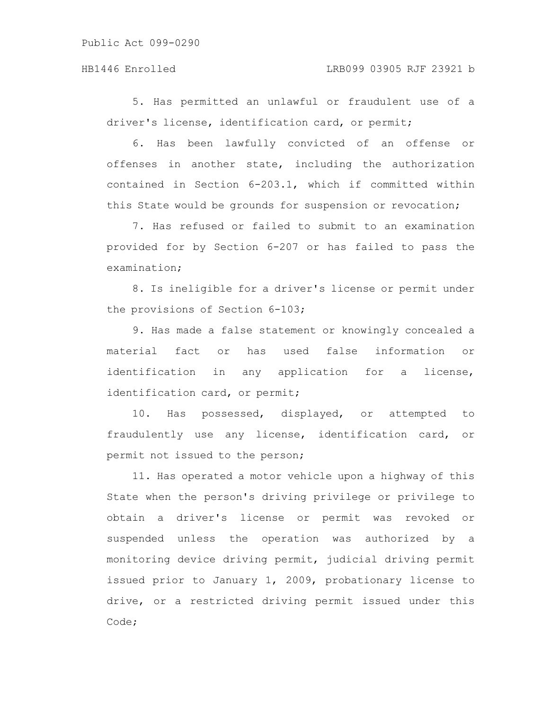5. Has permitted an unlawful or fraudulent use of a driver's license, identification card, or permit;

6. Has been lawfully convicted of an offense or offenses in another state, including the authorization contained in Section 6-203.1, which if committed within this State would be grounds for suspension or revocation;

7. Has refused or failed to submit to an examination provided for by Section 6-207 or has failed to pass the examination;

8. Is ineligible for a driver's license or permit under the provisions of Section 6-103;

9. Has made a false statement or knowingly concealed a material fact or has used false information or identification in any application for a license, identification card, or permit;

10. Has possessed, displayed, or attempted to fraudulently use any license, identification card, or permit not issued to the person;

11. Has operated a motor vehicle upon a highway of this State when the person's driving privilege or privilege to obtain a driver's license or permit was revoked or suspended unless the operation was authorized by a monitoring device driving permit, judicial driving permit issued prior to January 1, 2009, probationary license to drive, or a restricted driving permit issued under this Code;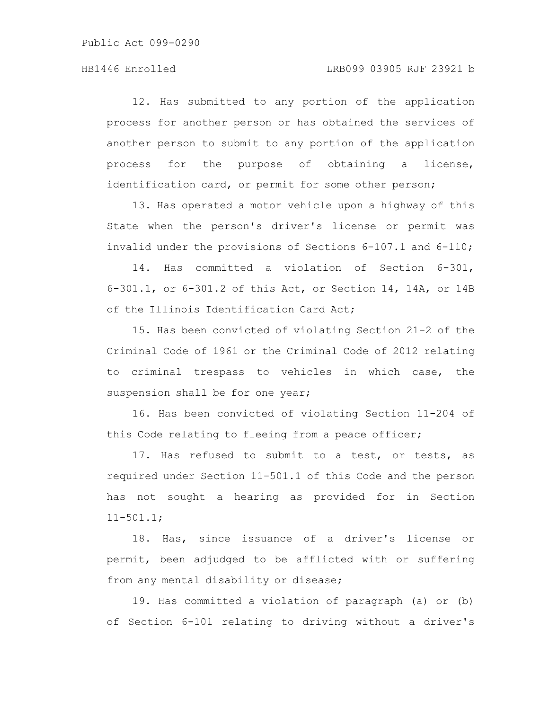12. Has submitted to any portion of the application process for another person or has obtained the services of another person to submit to any portion of the application process for the purpose of obtaining a license, identification card, or permit for some other person;

13. Has operated a motor vehicle upon a highway of this State when the person's driver's license or permit was invalid under the provisions of Sections 6-107.1 and 6-110;

14. Has committed a violation of Section 6-301, 6-301.1, or 6-301.2 of this Act, or Section 14, 14A, or 14B of the Illinois Identification Card Act;

15. Has been convicted of violating Section 21-2 of the Criminal Code of 1961 or the Criminal Code of 2012 relating to criminal trespass to vehicles in which case, the suspension shall be for one year;

16. Has been convicted of violating Section 11-204 of this Code relating to fleeing from a peace officer;

17. Has refused to submit to a test, or tests, as required under Section 11-501.1 of this Code and the person has not sought a hearing as provided for in Section 11-501.1;

18. Has, since issuance of a driver's license or permit, been adjudged to be afflicted with or suffering from any mental disability or disease;

19. Has committed a violation of paragraph (a) or (b) of Section 6-101 relating to driving without a driver's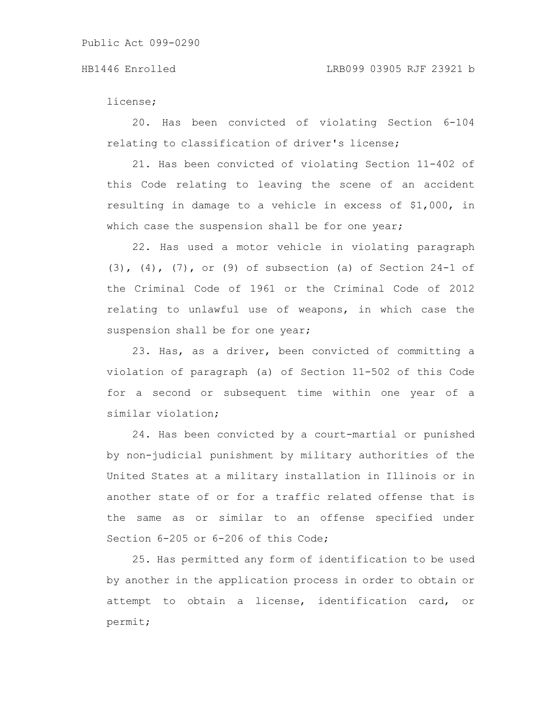license;

20. Has been convicted of violating Section 6-104 relating to classification of driver's license;

21. Has been convicted of violating Section 11-402 of this Code relating to leaving the scene of an accident resulting in damage to a vehicle in excess of \$1,000, in which case the suspension shall be for one year;

22. Has used a motor vehicle in violating paragraph (3), (4), (7), or (9) of subsection (a) of Section 24-1 of the Criminal Code of 1961 or the Criminal Code of 2012 relating to unlawful use of weapons, in which case the suspension shall be for one year;

23. Has, as a driver, been convicted of committing a violation of paragraph (a) of Section 11-502 of this Code for a second or subsequent time within one year of a similar violation;

24. Has been convicted by a court-martial or punished by non-judicial punishment by military authorities of the United States at a military installation in Illinois or in another state of or for a traffic related offense that is the same as or similar to an offense specified under Section 6-205 or 6-206 of this Code;

25. Has permitted any form of identification to be used by another in the application process in order to obtain or attempt to obtain a license, identification card, or permit;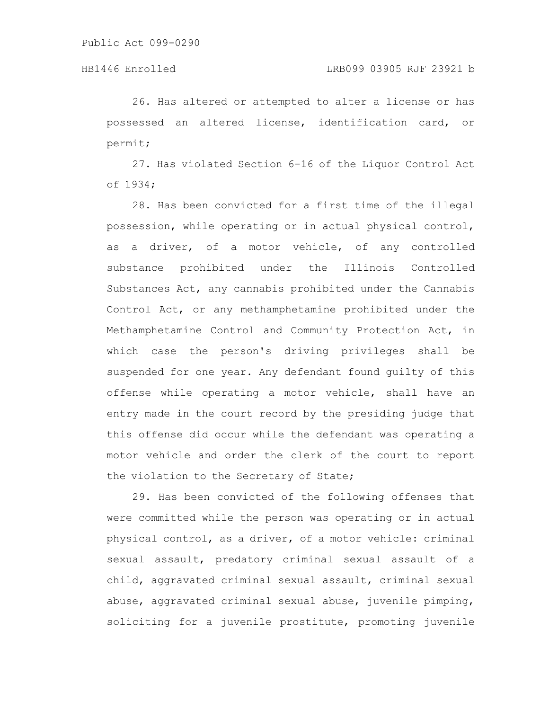26. Has altered or attempted to alter a license or has possessed an altered license, identification card, or permit;

27. Has violated Section 6-16 of the Liquor Control Act of 1934;

28. Has been convicted for a first time of the illegal possession, while operating or in actual physical control, as a driver, of a motor vehicle, of any controlled substance prohibited under the Illinois Controlled Substances Act, any cannabis prohibited under the Cannabis Control Act, or any methamphetamine prohibited under the Methamphetamine Control and Community Protection Act, in which case the person's driving privileges shall be suspended for one year. Any defendant found guilty of this offense while operating a motor vehicle, shall have an entry made in the court record by the presiding judge that this offense did occur while the defendant was operating a motor vehicle and order the clerk of the court to report the violation to the Secretary of State;

29. Has been convicted of the following offenses that were committed while the person was operating or in actual physical control, as a driver, of a motor vehicle: criminal sexual assault, predatory criminal sexual assault of a child, aggravated criminal sexual assault, criminal sexual abuse, aggravated criminal sexual abuse, juvenile pimping, soliciting for a juvenile prostitute, promoting juvenile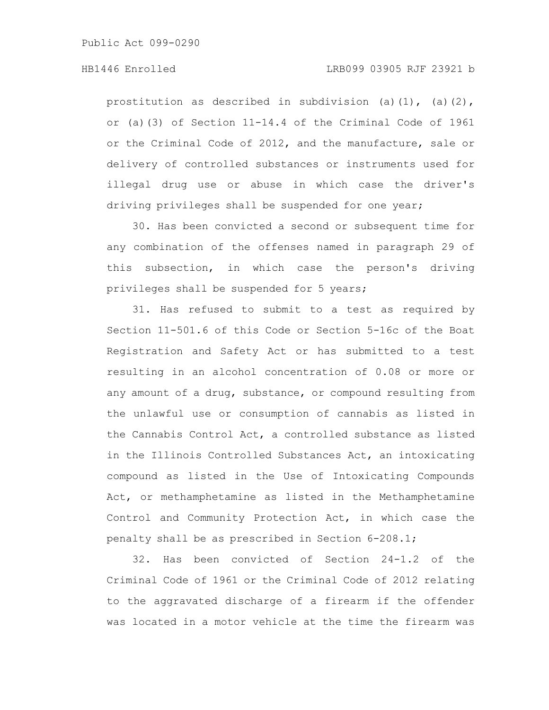prostitution as described in subdivision (a)(1), (a)(2), or (a)(3) of Section 11-14.4 of the Criminal Code of 1961 or the Criminal Code of 2012, and the manufacture, sale or delivery of controlled substances or instruments used for illegal drug use or abuse in which case the driver's driving privileges shall be suspended for one year;

30. Has been convicted a second or subsequent time for any combination of the offenses named in paragraph 29 of this subsection, in which case the person's driving privileges shall be suspended for 5 years;

31. Has refused to submit to a test as required by Section 11-501.6 of this Code or Section 5-16c of the Boat Registration and Safety Act or has submitted to a test resulting in an alcohol concentration of 0.08 or more or any amount of a drug, substance, or compound resulting from the unlawful use or consumption of cannabis as listed in the Cannabis Control Act, a controlled substance as listed in the Illinois Controlled Substances Act, an intoxicating compound as listed in the Use of Intoxicating Compounds Act, or methamphetamine as listed in the Methamphetamine Control and Community Protection Act, in which case the penalty shall be as prescribed in Section 6-208.1;

32. Has been convicted of Section 24-1.2 of the Criminal Code of 1961 or the Criminal Code of 2012 relating to the aggravated discharge of a firearm if the offender was located in a motor vehicle at the time the firearm was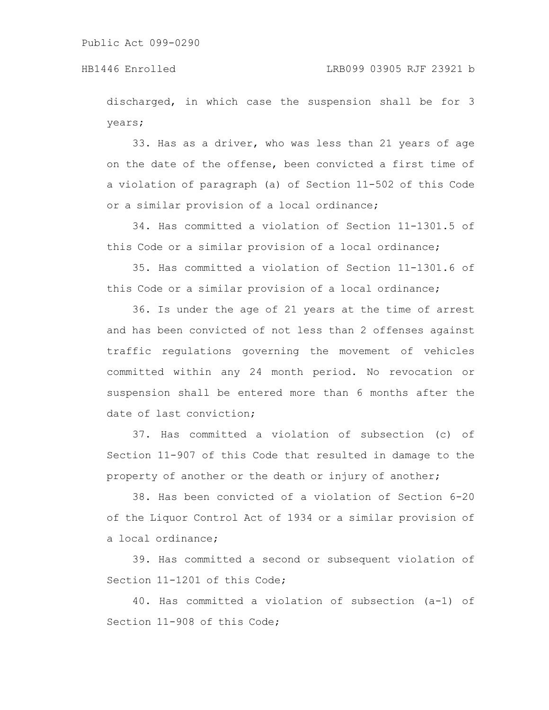discharged, in which case the suspension shall be for 3 years;

33. Has as a driver, who was less than 21 years of age on the date of the offense, been convicted a first time of a violation of paragraph (a) of Section 11-502 of this Code or a similar provision of a local ordinance;

34. Has committed a violation of Section 11-1301.5 of this Code or a similar provision of a local ordinance;

35. Has committed a violation of Section 11-1301.6 of this Code or a similar provision of a local ordinance;

36. Is under the age of 21 years at the time of arrest and has been convicted of not less than 2 offenses against traffic regulations governing the movement of vehicles committed within any 24 month period. No revocation or suspension shall be entered more than 6 months after the date of last conviction;

37. Has committed a violation of subsection (c) of Section 11-907 of this Code that resulted in damage to the property of another or the death or injury of another;

38. Has been convicted of a violation of Section 6-20 of the Liquor Control Act of 1934 or a similar provision of a local ordinance;

39. Has committed a second or subsequent violation of Section 11-1201 of this Code;

40. Has committed a violation of subsection (a-1) of Section 11-908 of this Code;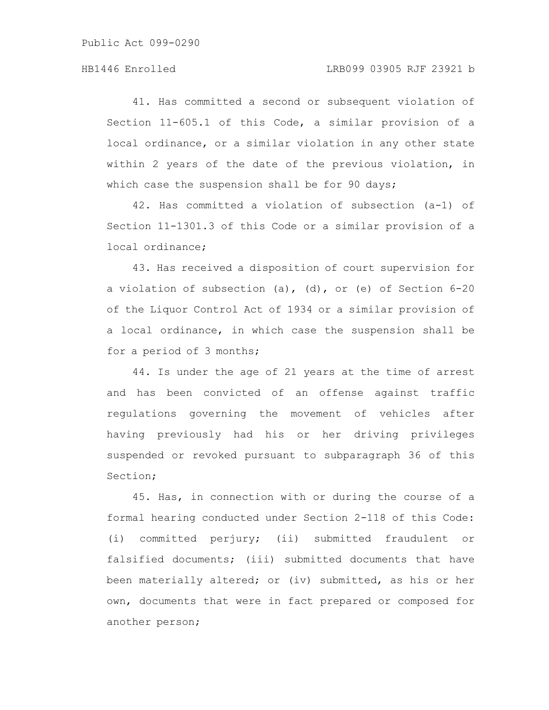41. Has committed a second or subsequent violation of Section 11-605.1 of this Code, a similar provision of a local ordinance, or a similar violation in any other state within 2 years of the date of the previous violation, in which case the suspension shall be for 90 days;

42. Has committed a violation of subsection (a-1) of Section 11-1301.3 of this Code or a similar provision of a local ordinance;

43. Has received a disposition of court supervision for a violation of subsection (a), (d), or (e) of Section 6-20 of the Liquor Control Act of 1934 or a similar provision of a local ordinance, in which case the suspension shall be for a period of 3 months;

44. Is under the age of 21 years at the time of arrest and has been convicted of an offense against traffic regulations governing the movement of vehicles after having previously had his or her driving privileges suspended or revoked pursuant to subparagraph 36 of this Section;

45. Has, in connection with or during the course of a formal hearing conducted under Section 2-118 of this Code: (i) committed perjury; (ii) submitted fraudulent or falsified documents; (iii) submitted documents that have been materially altered; or (iv) submitted, as his or her own, documents that were in fact prepared or composed for another person;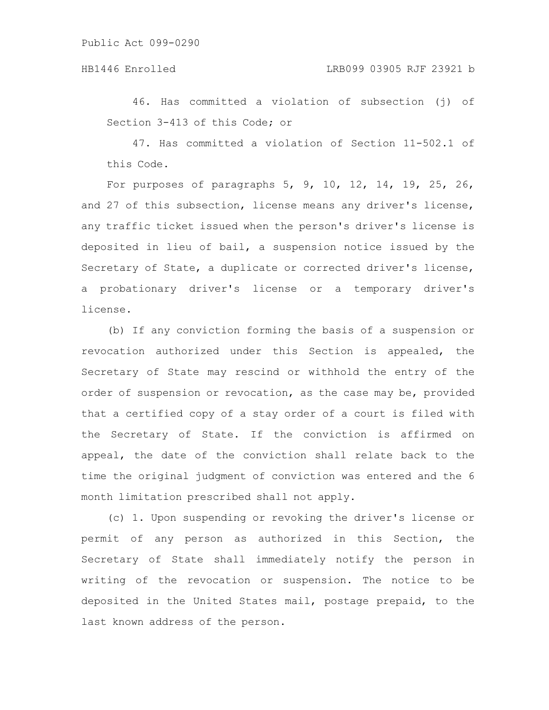46. Has committed a violation of subsection (j) of Section 3-413 of this Code; or

47. Has committed a violation of Section 11-502.1 of this Code.

For purposes of paragraphs 5, 9, 10, 12, 14, 19, 25, 26, and 27 of this subsection, license means any driver's license, any traffic ticket issued when the person's driver's license is deposited in lieu of bail, a suspension notice issued by the Secretary of State, a duplicate or corrected driver's license, a probationary driver's license or a temporary driver's license.

(b) If any conviction forming the basis of a suspension or revocation authorized under this Section is appealed, the Secretary of State may rescind or withhold the entry of the order of suspension or revocation, as the case may be, provided that a certified copy of a stay order of a court is filed with the Secretary of State. If the conviction is affirmed on appeal, the date of the conviction shall relate back to the time the original judgment of conviction was entered and the 6 month limitation prescribed shall not apply.

(c) 1. Upon suspending or revoking the driver's license or permit of any person as authorized in this Section, the Secretary of State shall immediately notify the person in writing of the revocation or suspension. The notice to be deposited in the United States mail, postage prepaid, to the last known address of the person.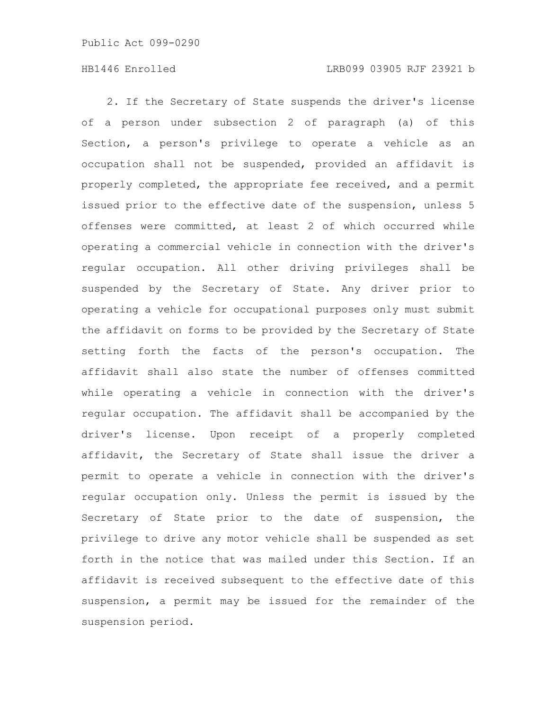2. If the Secretary of State suspends the driver's license of a person under subsection 2 of paragraph (a) of this Section, a person's privilege to operate a vehicle as an occupation shall not be suspended, provided an affidavit is properly completed, the appropriate fee received, and a permit issued prior to the effective date of the suspension, unless 5 offenses were committed, at least 2 of which occurred while operating a commercial vehicle in connection with the driver's regular occupation. All other driving privileges shall be suspended by the Secretary of State. Any driver prior to operating a vehicle for occupational purposes only must submit the affidavit on forms to be provided by the Secretary of State setting forth the facts of the person's occupation. The affidavit shall also state the number of offenses committed while operating a vehicle in connection with the driver's regular occupation. The affidavit shall be accompanied by the driver's license. Upon receipt of a properly completed affidavit, the Secretary of State shall issue the driver a permit to operate a vehicle in connection with the driver's regular occupation only. Unless the permit is issued by the Secretary of State prior to the date of suspension, the privilege to drive any motor vehicle shall be suspended as set forth in the notice that was mailed under this Section. If an affidavit is received subsequent to the effective date of this suspension, a permit may be issued for the remainder of the suspension period.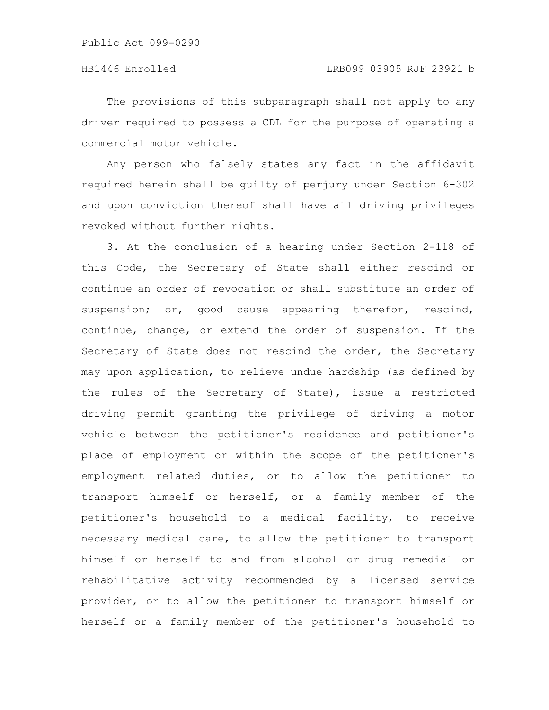The provisions of this subparagraph shall not apply to any driver required to possess a CDL for the purpose of operating a commercial motor vehicle.

Any person who falsely states any fact in the affidavit required herein shall be guilty of perjury under Section 6-302 and upon conviction thereof shall have all driving privileges revoked without further rights.

3. At the conclusion of a hearing under Section 2-118 of this Code, the Secretary of State shall either rescind or continue an order of revocation or shall substitute an order of suspension; or, good cause appearing therefor, rescind, continue, change, or extend the order of suspension. If the Secretary of State does not rescind the order, the Secretary may upon application, to relieve undue hardship (as defined by the rules of the Secretary of State), issue a restricted driving permit granting the privilege of driving a motor vehicle between the petitioner's residence and petitioner's place of employment or within the scope of the petitioner's employment related duties, or to allow the petitioner to transport himself or herself, or a family member of the petitioner's household to a medical facility, to receive necessary medical care, to allow the petitioner to transport himself or herself to and from alcohol or drug remedial or rehabilitative activity recommended by a licensed service provider, or to allow the petitioner to transport himself or herself or a family member of the petitioner's household to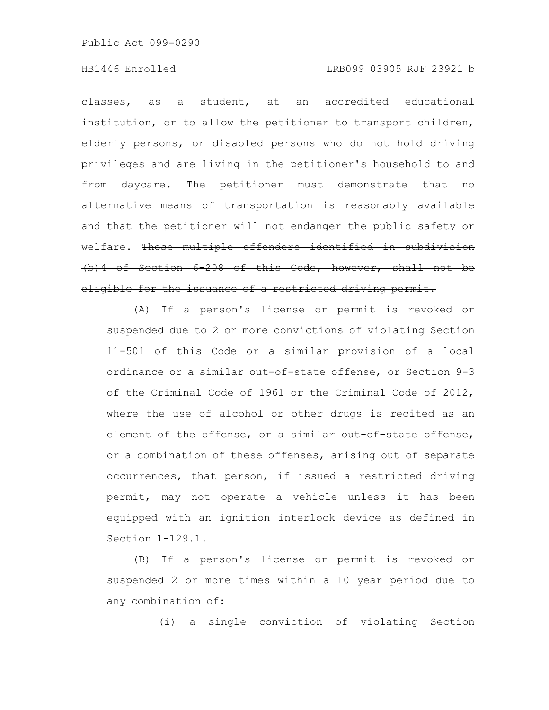classes, as a student, at an accredited educational institution, or to allow the petitioner to transport children, elderly persons, or disabled persons who do not hold driving privileges and are living in the petitioner's household to and from daycare. The petitioner must demonstrate that no alternative means of transportation is reasonably available and that the petitioner will not endanger the public safety or welfare. Those multiple offenders identified in subdivision (b)4 of Section 6-208 of this Code, however, shall not be eligible for the issuance of a restricted driving permit.

(A) If a person's license or permit is revoked or suspended due to 2 or more convictions of violating Section 11-501 of this Code or a similar provision of a local ordinance or a similar out-of-state offense, or Section 9-3 of the Criminal Code of 1961 or the Criminal Code of 2012, where the use of alcohol or other drugs is recited as an element of the offense, or a similar out-of-state offense, or a combination of these offenses, arising out of separate occurrences, that person, if issued a restricted driving permit, may not operate a vehicle unless it has been equipped with an ignition interlock device as defined in Section 1-129.1.

(B) If a person's license or permit is revoked or suspended 2 or more times within a 10 year period due to any combination of:

(i) a single conviction of violating Section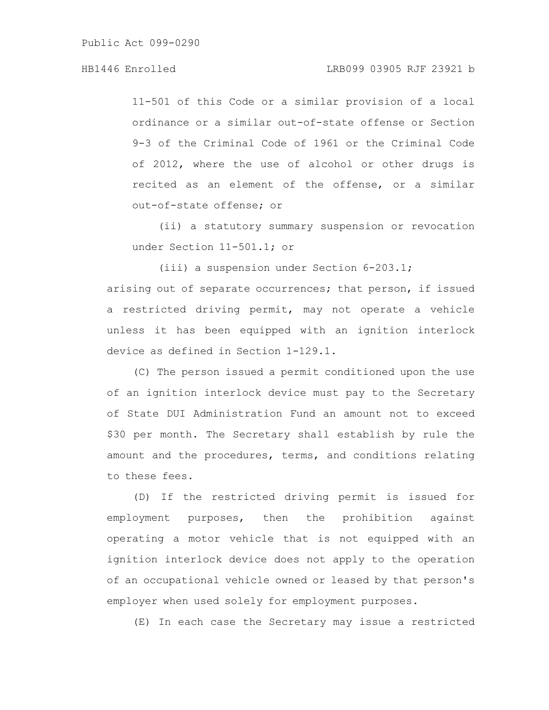# HB1446 Enrolled LRB099 03905 RJF 23921 b

11-501 of this Code or a similar provision of a local ordinance or a similar out-of-state offense or Section 9-3 of the Criminal Code of 1961 or the Criminal Code of 2012, where the use of alcohol or other drugs is recited as an element of the offense, or a similar out-of-state offense; or

(ii) a statutory summary suspension or revocation under Section 11-501.1; or

(iii) a suspension under Section 6-203.1; arising out of separate occurrences; that person, if issued a restricted driving permit, may not operate a vehicle unless it has been equipped with an ignition interlock device as defined in Section 1-129.1.

(C) The person issued a permit conditioned upon the use of an ignition interlock device must pay to the Secretary of State DUI Administration Fund an amount not to exceed \$30 per month. The Secretary shall establish by rule the amount and the procedures, terms, and conditions relating to these fees.

(D) If the restricted driving permit is issued for employment purposes, then the prohibition against operating a motor vehicle that is not equipped with an ignition interlock device does not apply to the operation of an occupational vehicle owned or leased by that person's employer when used solely for employment purposes.

(E) In each case the Secretary may issue a restricted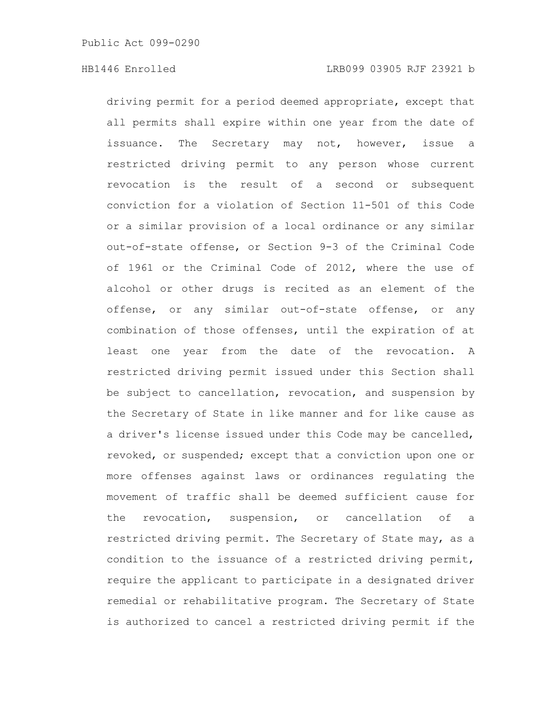driving permit for a period deemed appropriate, except that all permits shall expire within one year from the date of issuance. The Secretary may not, however, issue a restricted driving permit to any person whose current revocation is the result of a second or subsequent conviction for a violation of Section 11-501 of this Code or a similar provision of a local ordinance or any similar out-of-state offense, or Section 9-3 of the Criminal Code of 1961 or the Criminal Code of 2012, where the use of alcohol or other drugs is recited as an element of the offense, or any similar out-of-state offense, or any combination of those offenses, until the expiration of at least one year from the date of the revocation. A restricted driving permit issued under this Section shall be subject to cancellation, revocation, and suspension by the Secretary of State in like manner and for like cause as a driver's license issued under this Code may be cancelled, revoked, or suspended; except that a conviction upon one or more offenses against laws or ordinances regulating the movement of traffic shall be deemed sufficient cause for the revocation, suspension, or cancellation of a restricted driving permit. The Secretary of State may, as a condition to the issuance of a restricted driving permit, require the applicant to participate in a designated driver remedial or rehabilitative program. The Secretary of State is authorized to cancel a restricted driving permit if the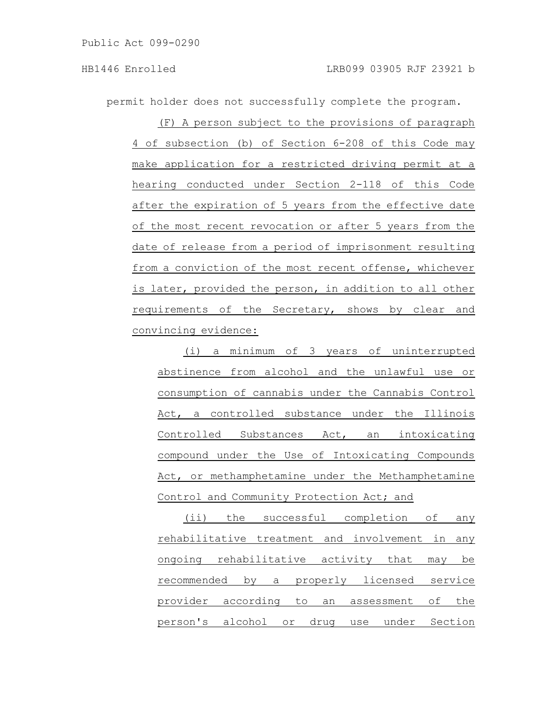permit holder does not successfully complete the program.

(F) A person subject to the provisions of paragraph 4 of subsection (b) of Section 6-208 of this Code may make application for a restricted driving permit at a hearing conducted under Section 2-118 of this Code after the expiration of 5 years from the effective date of the most recent revocation or after 5 years from the date of release from a period of imprisonment resulting from a conviction of the most recent offense, whichever is later, provided the person, in addition to all other requirements of the Secretary, shows by clear and convincing evidence:

(i) a minimum of 3 years of uninterrupted abstinence from alcohol and the unlawful use or consumption of cannabis under the Cannabis Control Act, a controlled substance under the Illinois Controlled Substances Act, an intoxicating compound under the Use of Intoxicating Compounds Act, or methamphetamine under the Methamphetamine Control and Community Protection Act; and

(ii) the successful completion of any rehabilitative treatment and involvement in any ongoing rehabilitative activity that may be recommended by a properly licensed service provider according to an assessment of the person's alcohol or drug use under Section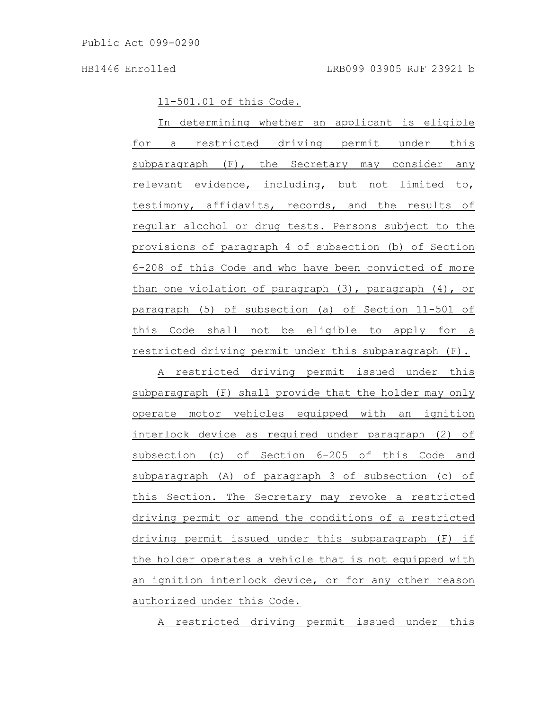11-501.01 of this Code.

In determining whether an applicant is eligible for a restricted driving permit under this subparagraph (F), the Secretary may consider any relevant evidence, including, but not limited to, testimony, affidavits, records, and the results of regular alcohol or drug tests. Persons subject to the provisions of paragraph 4 of subsection (b) of Section 6-208 of this Code and who have been convicted of more than one violation of paragraph (3), paragraph (4), or paragraph (5) of subsection (a) of Section 11-501 of this Code shall not be eligible to apply for a restricted driving permit under this subparagraph (F).

A restricted driving permit issued under this subparagraph (F) shall provide that the holder may only operate motor vehicles equipped with an ignition interlock device as required under paragraph (2) of subsection (c) of Section 6-205 of this Code and subparagraph (A) of paragraph 3 of subsection (c) of this Section. The Secretary may revoke a restricted driving permit or amend the conditions of a restricted driving permit issued under this subparagraph (F) if the holder operates a vehicle that is not equipped with an ignition interlock device, or for any other reason authorized under this Code.

A restricted driving permit issued under this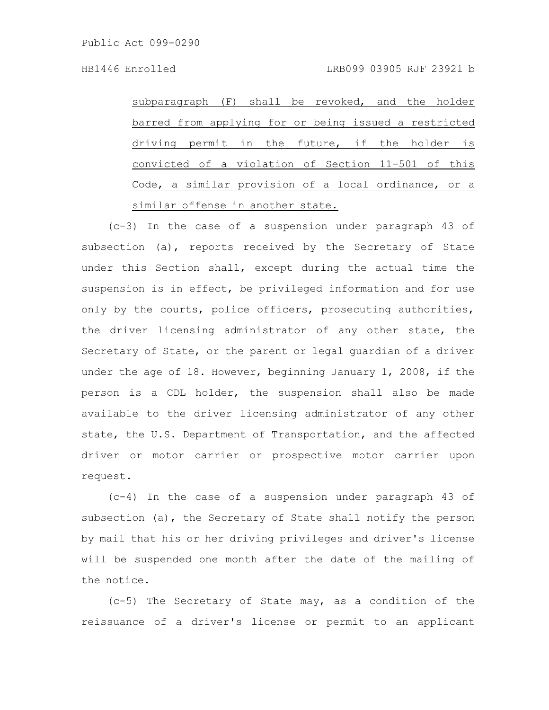subparagraph (F) shall be revoked, and the holder barred from applying for or being issued a restricted driving permit in the future, if the holder is convicted of a violation of Section 11-501 of this Code, a similar provision of a local ordinance, or a similar offense in another state.

(c-3) In the case of a suspension under paragraph 43 of subsection (a), reports received by the Secretary of State under this Section shall, except during the actual time the suspension is in effect, be privileged information and for use only by the courts, police officers, prosecuting authorities, the driver licensing administrator of any other state, the Secretary of State, or the parent or legal guardian of a driver under the age of 18. However, beginning January 1, 2008, if the person is a CDL holder, the suspension shall also be made available to the driver licensing administrator of any other state, the U.S. Department of Transportation, and the affected driver or motor carrier or prospective motor carrier upon request.

(c-4) In the case of a suspension under paragraph 43 of subsection (a), the Secretary of State shall notify the person by mail that his or her driving privileges and driver's license will be suspended one month after the date of the mailing of the notice.

(c-5) The Secretary of State may, as a condition of the reissuance of a driver's license or permit to an applicant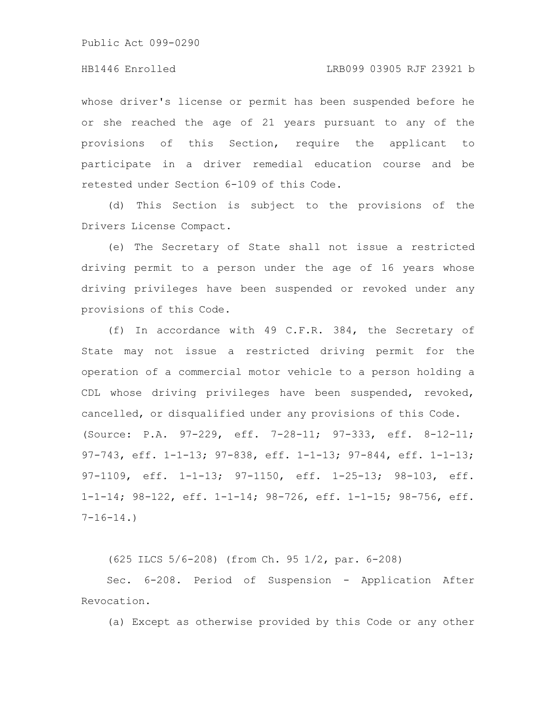### HB1446 Enrolled LRB099 03905 RJF 23921 b

whose driver's license or permit has been suspended before he or she reached the age of 21 years pursuant to any of the provisions of this Section, require the applicant to participate in a driver remedial education course and be retested under Section 6-109 of this Code.

(d) This Section is subject to the provisions of the Drivers License Compact.

(e) The Secretary of State shall not issue a restricted driving permit to a person under the age of 16 years whose driving privileges have been suspended or revoked under any provisions of this Code.

(f) In accordance with 49 C.F.R. 384, the Secretary of State may not issue a restricted driving permit for the operation of a commercial motor vehicle to a person holding a CDL whose driving privileges have been suspended, revoked, cancelled, or disqualified under any provisions of this Code. (Source: P.A. 97-229, eff. 7-28-11; 97-333, eff. 8-12-11; 97-743, eff. 1-1-13; 97-838, eff. 1-1-13; 97-844, eff. 1-1-13; 97-1109, eff. 1-1-13; 97-1150, eff. 1-25-13; 98-103, eff. 1-1-14; 98-122, eff. 1-1-14; 98-726, eff. 1-1-15; 98-756, eff.  $7-16-14.$ 

(625 ILCS 5/6-208) (from Ch. 95 1/2, par. 6-208)

Sec. 6-208. Period of Suspension - Application After Revocation.

(a) Except as otherwise provided by this Code or any other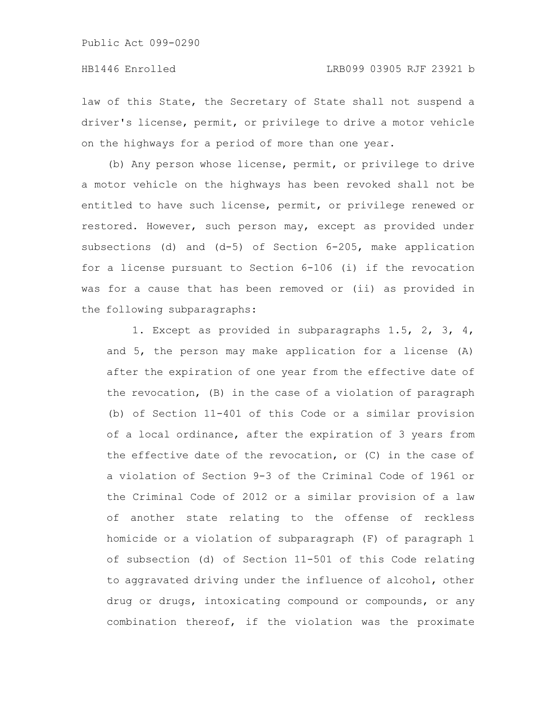law of this State, the Secretary of State shall not suspend a driver's license, permit, or privilege to drive a motor vehicle on the highways for a period of more than one year.

(b) Any person whose license, permit, or privilege to drive a motor vehicle on the highways has been revoked shall not be entitled to have such license, permit, or privilege renewed or restored. However, such person may, except as provided under subsections (d) and (d-5) of Section 6-205, make application for a license pursuant to Section 6-106 (i) if the revocation was for a cause that has been removed or (ii) as provided in the following subparagraphs:

1. Except as provided in subparagraphs 1.5, 2, 3, 4, and 5, the person may make application for a license (A) after the expiration of one year from the effective date of the revocation, (B) in the case of a violation of paragraph (b) of Section 11-401 of this Code or a similar provision of a local ordinance, after the expiration of 3 years from the effective date of the revocation, or (C) in the case of a violation of Section 9-3 of the Criminal Code of 1961 or the Criminal Code of 2012 or a similar provision of a law of another state relating to the offense of reckless homicide or a violation of subparagraph (F) of paragraph 1 of subsection (d) of Section 11-501 of this Code relating to aggravated driving under the influence of alcohol, other drug or drugs, intoxicating compound or compounds, or any combination thereof, if the violation was the proximate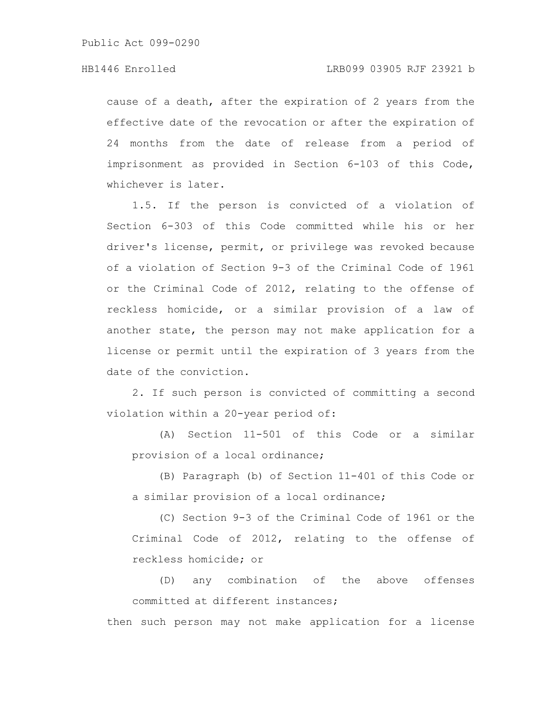cause of a death, after the expiration of 2 years from the effective date of the revocation or after the expiration of 24 months from the date of release from a period of imprisonment as provided in Section 6-103 of this Code, whichever is later.

1.5. If the person is convicted of a violation of Section 6-303 of this Code committed while his or her driver's license, permit, or privilege was revoked because of a violation of Section 9-3 of the Criminal Code of 1961 or the Criminal Code of 2012, relating to the offense of reckless homicide, or a similar provision of a law of another state, the person may not make application for a license or permit until the expiration of 3 years from the date of the conviction.

2. If such person is convicted of committing a second violation within a 20-year period of:

(A) Section 11-501 of this Code or a similar provision of a local ordinance;

(B) Paragraph (b) of Section 11-401 of this Code or a similar provision of a local ordinance;

(C) Section 9-3 of the Criminal Code of 1961 or the Criminal Code of 2012, relating to the offense of reckless homicide; or

(D) any combination of the above offenses committed at different instances;

then such person may not make application for a license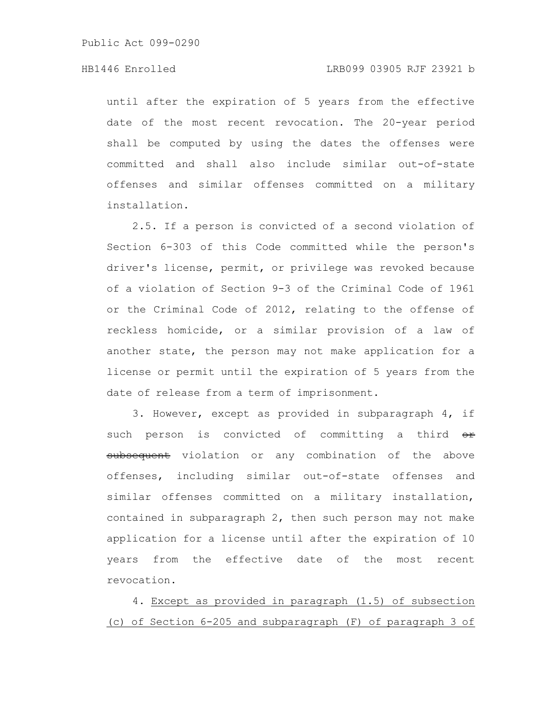until after the expiration of 5 years from the effective date of the most recent revocation. The 20-year period shall be computed by using the dates the offenses were committed and shall also include similar out-of-state offenses and similar offenses committed on a military installation.

2.5. If a person is convicted of a second violation of Section 6-303 of this Code committed while the person's driver's license, permit, or privilege was revoked because of a violation of Section 9-3 of the Criminal Code of 1961 or the Criminal Code of 2012, relating to the offense of reckless homicide, or a similar provision of a law of another state, the person may not make application for a license or permit until the expiration of 5 years from the date of release from a term of imprisonment.

3. However, except as provided in subparagraph 4, if such person is convicted of committing a third or subsequent violation or any combination of the above offenses, including similar out-of-state offenses and similar offenses committed on a military installation, contained in subparagraph 2, then such person may not make application for a license until after the expiration of 10 years from the effective date of the most recent revocation.

4. Except as provided in paragraph (1.5) of subsection (c) of Section 6-205 and subparagraph (F) of paragraph 3 of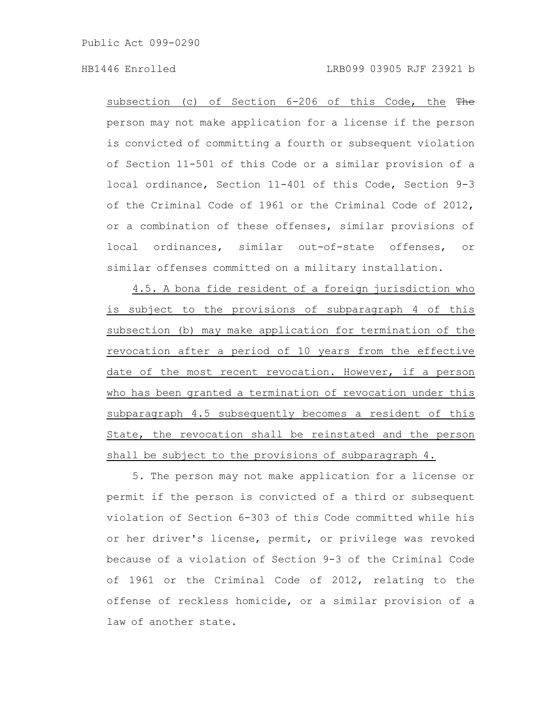subsection (c) of Section 6-206 of this Code, the The person may not make application for a license if the person is convicted of committing a fourth or subsequent violation of Section 11-501 of this Code or a similar provision of a local ordinance, Section 11-401 of this Code, Section 9-3 of the Criminal Code of 1961 or the Criminal Code of 2012, or a combination of these offenses, similar provisions of local ordinances, similar out-of-state offenses, or similar offenses committed on a military installation.

4.5. A bona fide resident of a foreign jurisdiction who is subject to the provisions of subparagraph 4 of this subsection (b) may make application for termination of the revocation after a period of 10 years from the effective date of the most recent revocation. However, if a person who has been granted a termination of revocation under this subparagraph 4.5 subsequently becomes a resident of this State, the revocation shall be reinstated and the person shall be subject to the provisions of subparagraph 4.

5. The person may not make application for a license or permit if the person is convicted of a third or subsequent violation of Section 6-303 of this Code committed while his or her driver's license, permit, or privilege was revoked because of a violation of Section 9-3 of the Criminal Code of 1961 or the Criminal Code of 2012, relating to the offense of reckless homicide, or a similar provision of a law of another state.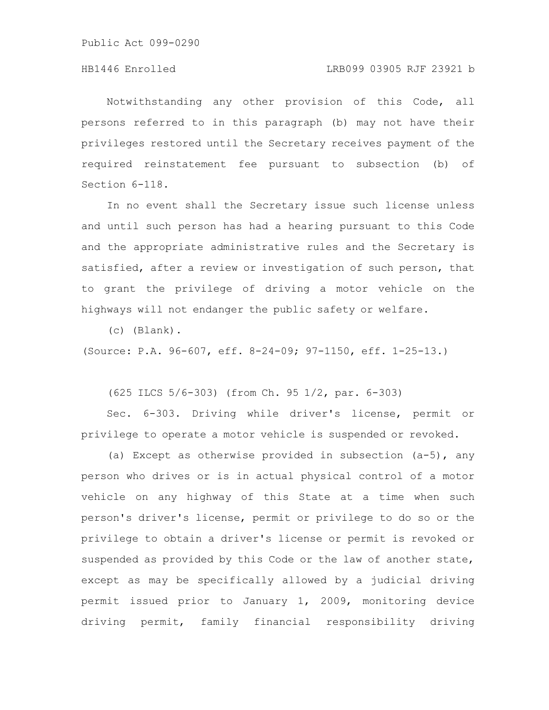Notwithstanding any other provision of this Code, all persons referred to in this paragraph (b) may not have their privileges restored until the Secretary receives payment of the required reinstatement fee pursuant to subsection (b) of Section 6-118.

In no event shall the Secretary issue such license unless and until such person has had a hearing pursuant to this Code and the appropriate administrative rules and the Secretary is satisfied, after a review or investigation of such person, that to grant the privilege of driving a motor vehicle on the highways will not endanger the public safety or welfare.

(c) (Blank).

(Source: P.A. 96-607, eff. 8-24-09; 97-1150, eff. 1-25-13.)

(625 ILCS 5/6-303) (from Ch. 95 1/2, par. 6-303)

Sec. 6-303. Driving while driver's license, permit or privilege to operate a motor vehicle is suspended or revoked.

(a) Except as otherwise provided in subsection (a-5), any person who drives or is in actual physical control of a motor vehicle on any highway of this State at a time when such person's driver's license, permit or privilege to do so or the privilege to obtain a driver's license or permit is revoked or suspended as provided by this Code or the law of another state, except as may be specifically allowed by a judicial driving permit issued prior to January 1, 2009, monitoring device driving permit, family financial responsibility driving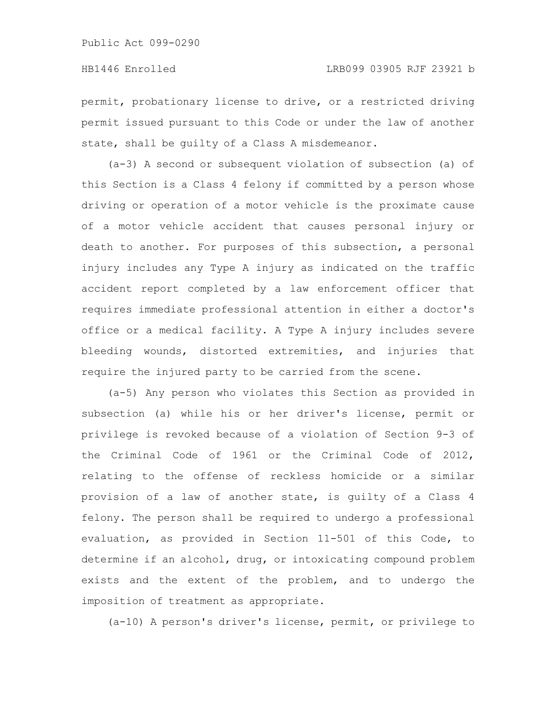permit, probationary license to drive, or a restricted driving permit issued pursuant to this Code or under the law of another state, shall be guilty of a Class A misdemeanor.

(a-3) A second or subsequent violation of subsection (a) of this Section is a Class 4 felony if committed by a person whose driving or operation of a motor vehicle is the proximate cause of a motor vehicle accident that causes personal injury or death to another. For purposes of this subsection, a personal injury includes any Type A injury as indicated on the traffic accident report completed by a law enforcement officer that requires immediate professional attention in either a doctor's office or a medical facility. A Type A injury includes severe bleeding wounds, distorted extremities, and injuries that require the injured party to be carried from the scene.

(a-5) Any person who violates this Section as provided in subsection (a) while his or her driver's license, permit or privilege is revoked because of a violation of Section 9-3 of the Criminal Code of 1961 or the Criminal Code of 2012, relating to the offense of reckless homicide or a similar provision of a law of another state, is guilty of a Class 4 felony. The person shall be required to undergo a professional evaluation, as provided in Section 11-501 of this Code, to determine if an alcohol, drug, or intoxicating compound problem exists and the extent of the problem, and to undergo the imposition of treatment as appropriate.

(a-10) A person's driver's license, permit, or privilege to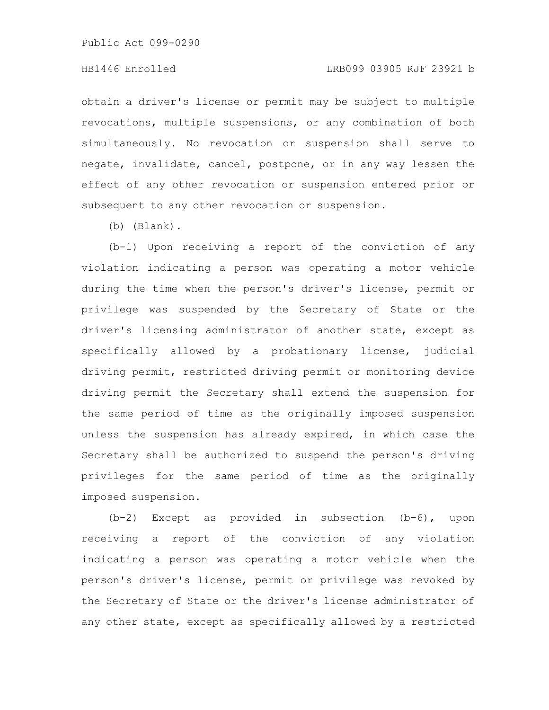### HB1446 Enrolled LRB099 03905 RJF 23921 b

obtain a driver's license or permit may be subject to multiple revocations, multiple suspensions, or any combination of both simultaneously. No revocation or suspension shall serve to negate, invalidate, cancel, postpone, or in any way lessen the effect of any other revocation or suspension entered prior or subsequent to any other revocation or suspension.

(b) (Blank).

(b-1) Upon receiving a report of the conviction of any violation indicating a person was operating a motor vehicle during the time when the person's driver's license, permit or privilege was suspended by the Secretary of State or the driver's licensing administrator of another state, except as specifically allowed by a probationary license, judicial driving permit, restricted driving permit or monitoring device driving permit the Secretary shall extend the suspension for the same period of time as the originally imposed suspension unless the suspension has already expired, in which case the Secretary shall be authorized to suspend the person's driving privileges for the same period of time as the originally imposed suspension.

(b-2) Except as provided in subsection (b-6), upon receiving a report of the conviction of any violation indicating a person was operating a motor vehicle when the person's driver's license, permit or privilege was revoked by the Secretary of State or the driver's license administrator of any other state, except as specifically allowed by a restricted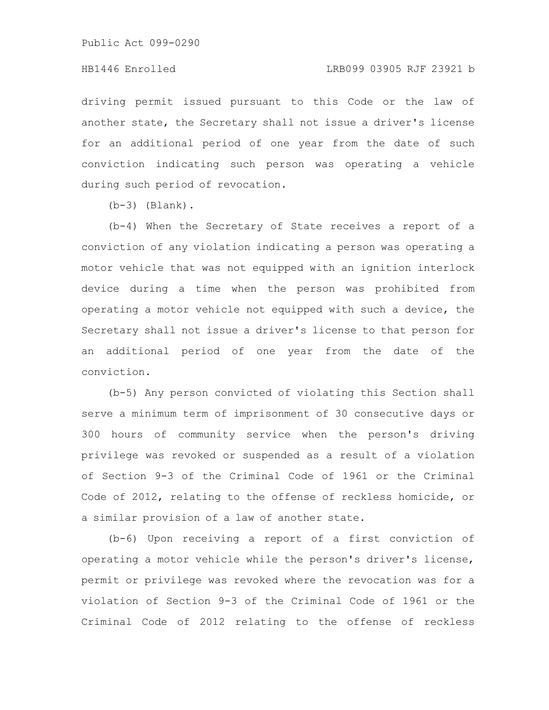### HB1446 Enrolled LRB099 03905 RJF 23921 b

driving permit issued pursuant to this Code or the law of another state, the Secretary shall not issue a driver's license for an additional period of one year from the date of such conviction indicating such person was operating a vehicle during such period of revocation.

 $(b-3)$  (Blank).

(b-4) When the Secretary of State receives a report of a conviction of any violation indicating a person was operating a motor vehicle that was not equipped with an ignition interlock device during a time when the person was prohibited from operating a motor vehicle not equipped with such a device, the Secretary shall not issue a driver's license to that person for an additional period of one year from the date of the conviction.

(b-5) Any person convicted of violating this Section shall serve a minimum term of imprisonment of 30 consecutive days or 300 hours of community service when the person's driving privilege was revoked or suspended as a result of a violation of Section 9-3 of the Criminal Code of 1961 or the Criminal Code of 2012, relating to the offense of reckless homicide, or a similar provision of a law of another state.

(b-6) Upon receiving a report of a first conviction of operating a motor vehicle while the person's driver's license, permit or privilege was revoked where the revocation was for a violation of Section 9-3 of the Criminal Code of 1961 or the Criminal Code of 2012 relating to the offense of reckless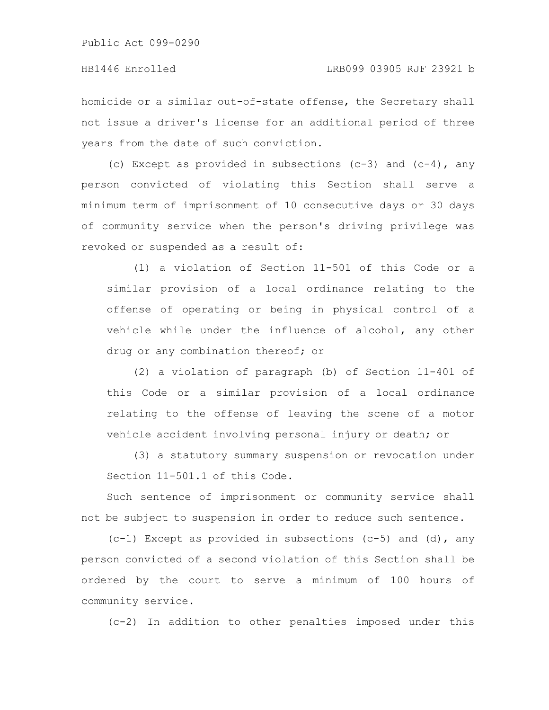homicide or a similar out-of-state offense, the Secretary shall not issue a driver's license for an additional period of three years from the date of such conviction.

(c) Except as provided in subsections  $(c-3)$  and  $(c-4)$ , any person convicted of violating this Section shall serve a minimum term of imprisonment of 10 consecutive days or 30 days of community service when the person's driving privilege was revoked or suspended as a result of:

(1) a violation of Section 11-501 of this Code or a similar provision of a local ordinance relating to the offense of operating or being in physical control of a vehicle while under the influence of alcohol, any other drug or any combination thereof; or

(2) a violation of paragraph (b) of Section 11-401 of this Code or a similar provision of a local ordinance relating to the offense of leaving the scene of a motor vehicle accident involving personal injury or death; or

(3) a statutory summary suspension or revocation under Section 11-501.1 of this Code.

Such sentence of imprisonment or community service shall not be subject to suspension in order to reduce such sentence.

 $(c-1)$  Except as provided in subsections  $(c-5)$  and  $(d)$ , any person convicted of a second violation of this Section shall be ordered by the court to serve a minimum of 100 hours of community service.

(c-2) In addition to other penalties imposed under this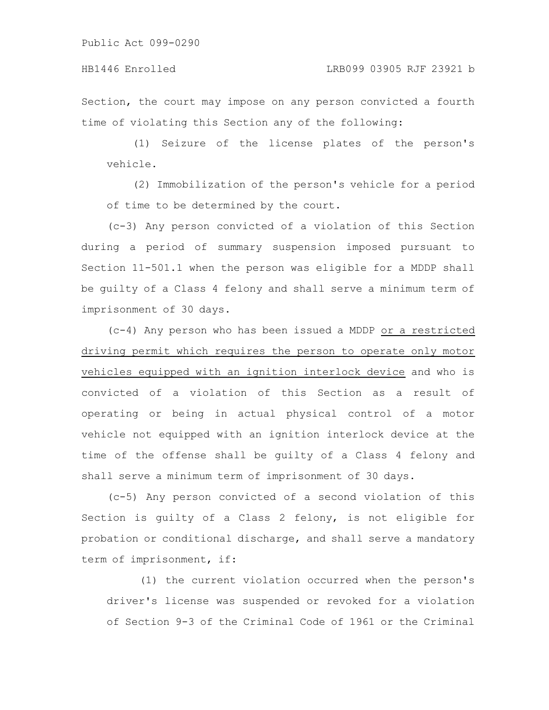Section, the court may impose on any person convicted a fourth time of violating this Section any of the following:

(1) Seizure of the license plates of the person's vehicle.

(2) Immobilization of the person's vehicle for a period of time to be determined by the court.

(c-3) Any person convicted of a violation of this Section during a period of summary suspension imposed pursuant to Section 11-501.1 when the person was eligible for a MDDP shall be guilty of a Class 4 felony and shall serve a minimum term of imprisonment of 30 days.

(c-4) Any person who has been issued a MDDP or a restricted driving permit which requires the person to operate only motor vehicles equipped with an ignition interlock device and who is convicted of a violation of this Section as a result of operating or being in actual physical control of a motor vehicle not equipped with an ignition interlock device at the time of the offense shall be guilty of a Class 4 felony and shall serve a minimum term of imprisonment of 30 days.

(c-5) Any person convicted of a second violation of this Section is guilty of a Class 2 felony, is not eligible for probation or conditional discharge, and shall serve a mandatory term of imprisonment, if:

(1) the current violation occurred when the person's driver's license was suspended or revoked for a violation of Section 9-3 of the Criminal Code of 1961 or the Criminal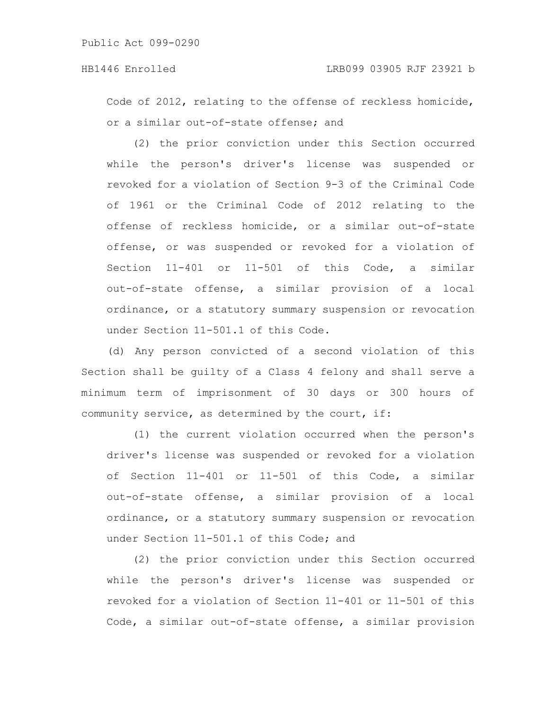Code of 2012, relating to the offense of reckless homicide, or a similar out-of-state offense; and

(2) the prior conviction under this Section occurred while the person's driver's license was suspended or revoked for a violation of Section 9-3 of the Criminal Code of 1961 or the Criminal Code of 2012 relating to the offense of reckless homicide, or a similar out-of-state offense, or was suspended or revoked for a violation of Section 11-401 or 11-501 of this Code, a similar out-of-state offense, a similar provision of a local ordinance, or a statutory summary suspension or revocation under Section 11-501.1 of this Code.

(d) Any person convicted of a second violation of this Section shall be guilty of a Class 4 felony and shall serve a minimum term of imprisonment of 30 days or 300 hours of community service, as determined by the court, if:

(1) the current violation occurred when the person's driver's license was suspended or revoked for a violation of Section 11-401 or 11-501 of this Code, a similar out-of-state offense, a similar provision of a local ordinance, or a statutory summary suspension or revocation under Section 11-501.1 of this Code; and

(2) the prior conviction under this Section occurred while the person's driver's license was suspended or revoked for a violation of Section 11-401 or 11-501 of this Code, a similar out-of-state offense, a similar provision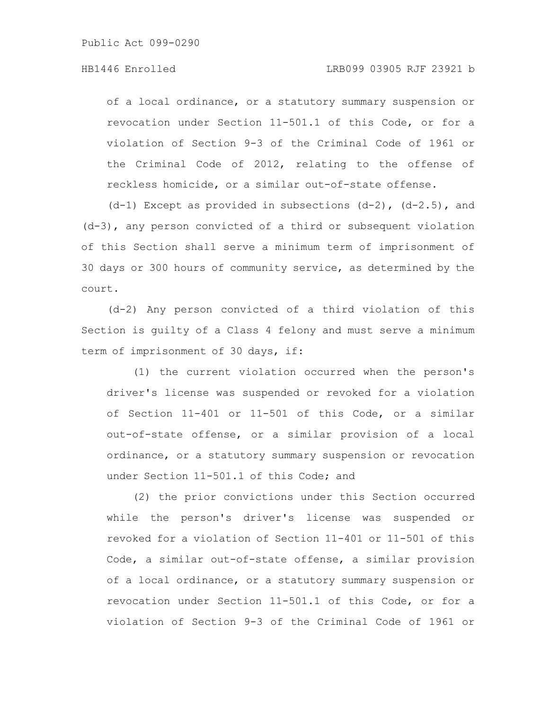of a local ordinance, or a statutory summary suspension or revocation under Section 11-501.1 of this Code, or for a violation of Section 9-3 of the Criminal Code of 1961 or the Criminal Code of 2012, relating to the offense of reckless homicide, or a similar out-of-state offense.

 $(d-1)$  Except as provided in subsections  $(d-2)$ ,  $(d-2.5)$ , and (d-3), any person convicted of a third or subsequent violation of this Section shall serve a minimum term of imprisonment of 30 days or 300 hours of community service, as determined by the court.

(d-2) Any person convicted of a third violation of this Section is guilty of a Class 4 felony and must serve a minimum term of imprisonment of 30 days, if:

(1) the current violation occurred when the person's driver's license was suspended or revoked for a violation of Section 11-401 or 11-501 of this Code, or a similar out-of-state offense, or a similar provision of a local ordinance, or a statutory summary suspension or revocation under Section 11-501.1 of this Code; and

(2) the prior convictions under this Section occurred while the person's driver's license was suspended or revoked for a violation of Section 11-401 or 11-501 of this Code, a similar out-of-state offense, a similar provision of a local ordinance, or a statutory summary suspension or revocation under Section 11-501.1 of this Code, or for a violation of Section 9-3 of the Criminal Code of 1961 or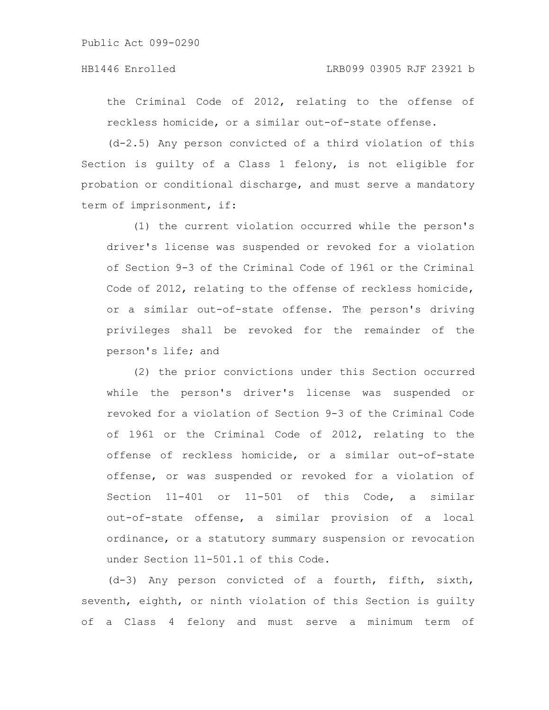the Criminal Code of 2012, relating to the offense of reckless homicide, or a similar out-of-state offense.

(d-2.5) Any person convicted of a third violation of this Section is guilty of a Class 1 felony, is not eligible for probation or conditional discharge, and must serve a mandatory term of imprisonment, if:

(1) the current violation occurred while the person's driver's license was suspended or revoked for a violation of Section 9-3 of the Criminal Code of 1961 or the Criminal Code of 2012, relating to the offense of reckless homicide, or a similar out-of-state offense. The person's driving privileges shall be revoked for the remainder of the person's life; and

(2) the prior convictions under this Section occurred while the person's driver's license was suspended or revoked for a violation of Section 9-3 of the Criminal Code of 1961 or the Criminal Code of 2012, relating to the offense of reckless homicide, or a similar out-of-state offense, or was suspended or revoked for a violation of Section 11-401 or 11-501 of this Code, a similar out-of-state offense, a similar provision of a local ordinance, or a statutory summary suspension or revocation under Section 11-501.1 of this Code.

(d-3) Any person convicted of a fourth, fifth, sixth, seventh, eighth, or ninth violation of this Section is guilty of a Class 4 felony and must serve a minimum term of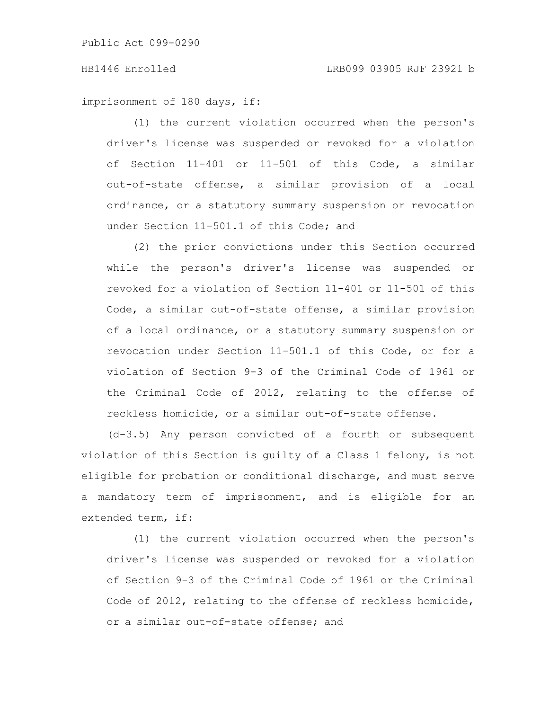imprisonment of 180 days, if:

(1) the current violation occurred when the person's driver's license was suspended or revoked for a violation of Section 11-401 or 11-501 of this Code, a similar out-of-state offense, a similar provision of a local ordinance, or a statutory summary suspension or revocation under Section 11-501.1 of this Code; and

(2) the prior convictions under this Section occurred while the person's driver's license was suspended or revoked for a violation of Section 11-401 or 11-501 of this Code, a similar out-of-state offense, a similar provision of a local ordinance, or a statutory summary suspension or revocation under Section 11-501.1 of this Code, or for a violation of Section 9-3 of the Criminal Code of 1961 or the Criminal Code of 2012, relating to the offense of reckless homicide, or a similar out-of-state offense.

(d-3.5) Any person convicted of a fourth or subsequent violation of this Section is guilty of a Class 1 felony, is not eligible for probation or conditional discharge, and must serve a mandatory term of imprisonment, and is eligible for an extended term, if:

(1) the current violation occurred when the person's driver's license was suspended or revoked for a violation of Section 9-3 of the Criminal Code of 1961 or the Criminal Code of 2012, relating to the offense of reckless homicide, or a similar out-of-state offense; and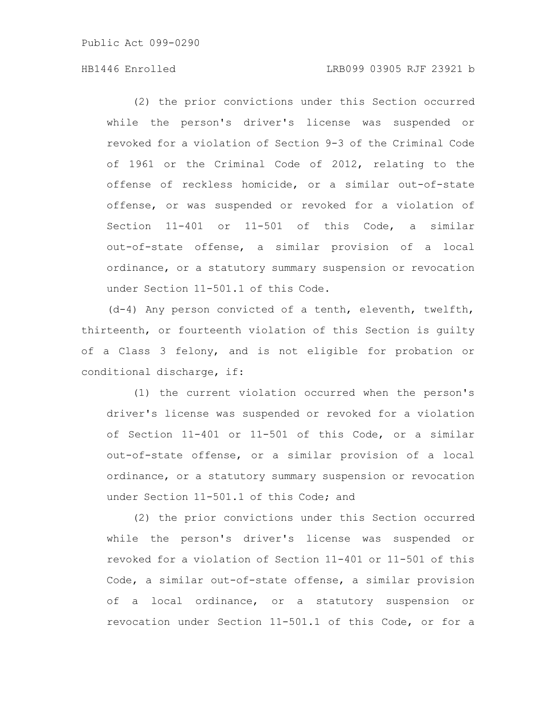# HB1446 Enrolled LRB099 03905 RJF 23921 b

(2) the prior convictions under this Section occurred while the person's driver's license was suspended or revoked for a violation of Section 9-3 of the Criminal Code of 1961 or the Criminal Code of 2012, relating to the offense of reckless homicide, or a similar out-of-state offense, or was suspended or revoked for a violation of Section 11-401 or 11-501 of this Code, a similar out-of-state offense, a similar provision of a local ordinance, or a statutory summary suspension or revocation under Section 11-501.1 of this Code.

(d-4) Any person convicted of a tenth, eleventh, twelfth, thirteenth, or fourteenth violation of this Section is guilty of a Class 3 felony, and is not eligible for probation or conditional discharge, if:

(1) the current violation occurred when the person's driver's license was suspended or revoked for a violation of Section 11-401 or 11-501 of this Code, or a similar out-of-state offense, or a similar provision of a local ordinance, or a statutory summary suspension or revocation under Section 11-501.1 of this Code; and

(2) the prior convictions under this Section occurred while the person's driver's license was suspended or revoked for a violation of Section 11-401 or 11-501 of this Code, a similar out-of-state offense, a similar provision of a local ordinance, or a statutory suspension or revocation under Section 11-501.1 of this Code, or for a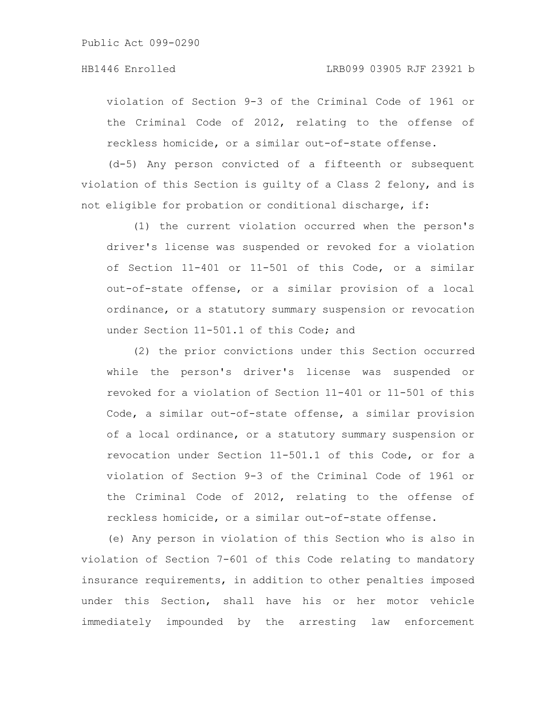violation of Section 9-3 of the Criminal Code of 1961 or the Criminal Code of 2012, relating to the offense of reckless homicide, or a similar out-of-state offense.

(d-5) Any person convicted of a fifteenth or subsequent violation of this Section is guilty of a Class 2 felony, and is not eligible for probation or conditional discharge, if:

(1) the current violation occurred when the person's driver's license was suspended or revoked for a violation of Section 11-401 or 11-501 of this Code, or a similar out-of-state offense, or a similar provision of a local ordinance, or a statutory summary suspension or revocation under Section 11-501.1 of this Code; and

(2) the prior convictions under this Section occurred while the person's driver's license was suspended or revoked for a violation of Section 11-401 or 11-501 of this Code, a similar out-of-state offense, a similar provision of a local ordinance, or a statutory summary suspension or revocation under Section 11-501.1 of this Code, or for a violation of Section 9-3 of the Criminal Code of 1961 or the Criminal Code of 2012, relating to the offense of reckless homicide, or a similar out-of-state offense.

(e) Any person in violation of this Section who is also in violation of Section 7-601 of this Code relating to mandatory insurance requirements, in addition to other penalties imposed under this Section, shall have his or her motor vehicle immediately impounded by the arresting law enforcement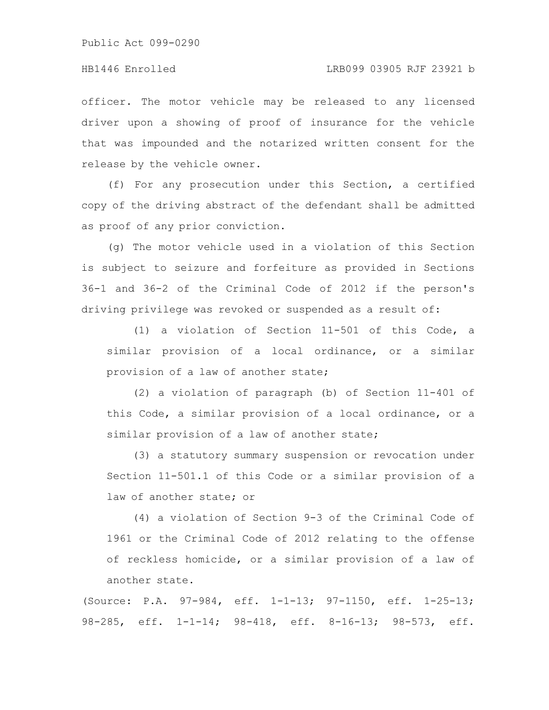#### HB1446 Enrolled LRB099 03905 RJF 23921 b

officer. The motor vehicle may be released to any licensed driver upon a showing of proof of insurance for the vehicle that was impounded and the notarized written consent for the release by the vehicle owner.

(f) For any prosecution under this Section, a certified copy of the driving abstract of the defendant shall be admitted as proof of any prior conviction.

(g) The motor vehicle used in a violation of this Section is subject to seizure and forfeiture as provided in Sections 36-1 and 36-2 of the Criminal Code of 2012 if the person's driving privilege was revoked or suspended as a result of:

(1) a violation of Section 11-501 of this Code, a similar provision of a local ordinance, or a similar provision of a law of another state;

(2) a violation of paragraph (b) of Section 11-401 of this Code, a similar provision of a local ordinance, or a similar provision of a law of another state;

(3) a statutory summary suspension or revocation under Section 11-501.1 of this Code or a similar provision of a law of another state; or

(4) a violation of Section 9-3 of the Criminal Code of 1961 or the Criminal Code of 2012 relating to the offense of reckless homicide, or a similar provision of a law of another state.

(Source: P.A. 97-984, eff. 1-1-13; 97-1150, eff. 1-25-13; 98-285, eff. 1-1-14; 98-418, eff. 8-16-13; 98-573, eff.